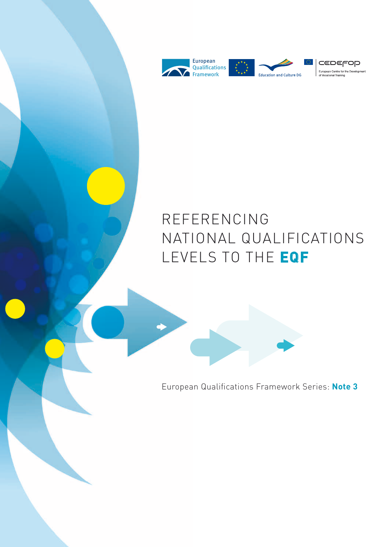

# REFERENCING NATIONAL QUALIFICATIONS LEVELS TO THE **EQF**

European Qualifications Framework Series: **Note 3**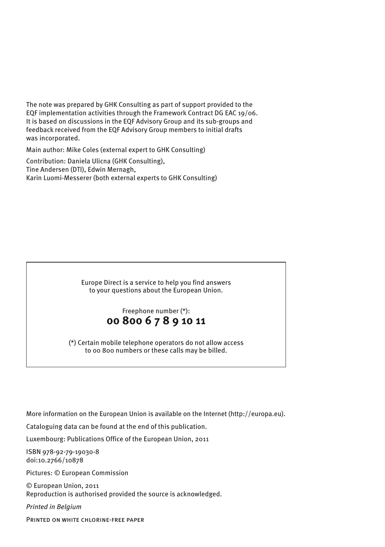The note was prepared by GHK Consulting as part of support provided to the EQF implementation activities through the Framework Contract DG EAC 19/06. It is based on discussions in the EQF Advisory Group and its sub-groups and feedback received from the EQF Advisory Group members to initial drafts was incorporated.

Main author: Mike Coles (external expert to GHK Consulting)

Contribution: Daniela Ulicna (GHK Consulting), Tine Andersen (DTI), Edwin Mernagh, Karin Luomi-Messerer (both external experts to GHK Consulting)

> Europe Direct is a service to help you find answers to your questions about the European Union.

## Freephone number (\*): **00 800 6 7 8 9 10 11**

(\*) Certain mobile telephone operators do not allow access to 00 800 numbers or these calls may be billed.

More information on the European Union is available on the Internet [\(http://europa.eu\).](http://europa.eu).)

Cataloguing data can be found at the end of this publication.

Luxembourg: Publications Office of the European Union, 2011

ISBN 978-92-79-19030-8 doi:10.2766/10878

Pictures: © European Commission

© European Union, 2011 Reproduction is authorised provided the source is acknowledged.

*Printed in Belgium*

Printed on white chlorine-free paper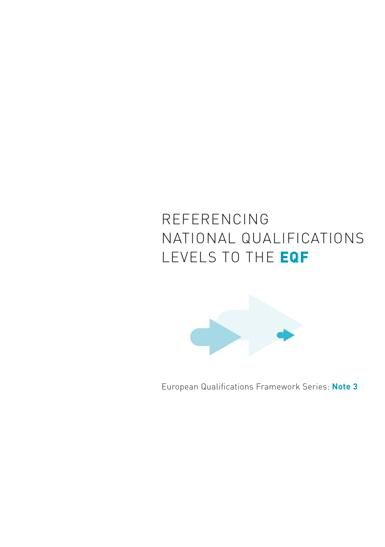# REFERENCING NATIONAL QUALIFICATIONS LEVELS TO THE **EQF**



European Qualifications Framework Series: **Note 3**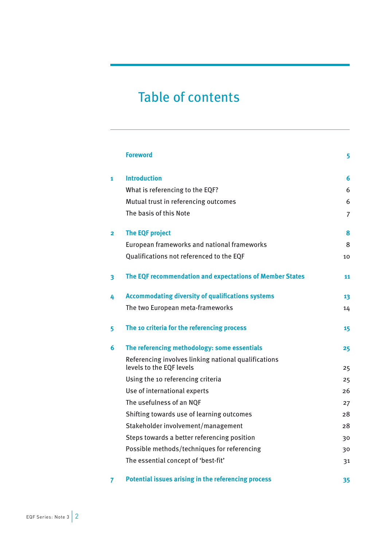## Table of contents

|   | <b>Foreword</b>                                                                  | 5  |
|---|----------------------------------------------------------------------------------|----|
| 1 | <b>Introduction</b>                                                              | 6  |
|   | What is referencing to the EQF?                                                  | 6  |
|   | Mutual trust in referencing outcomes                                             | 6  |
|   | The basis of this Note                                                           | 7  |
| 2 | <b>The EQF project</b>                                                           | 8  |
|   | European frameworks and national frameworks                                      | 8  |
|   | Qualifications not referenced to the EQF                                         | 10 |
| 3 | The EQF recommendation and expectations of Member States                         | 11 |
| 4 | <b>Accommodating diversity of qualifications systems</b>                         | 13 |
|   | The two European meta-frameworks                                                 | 14 |
| 5 | The 10 criteria for the referencing process                                      | 15 |
| 6 | The referencing methodology: some essentials                                     | 25 |
|   | Referencing involves linking national qualifications<br>levels to the EQF levels | 25 |
|   | Using the 10 referencing criteria                                                | 25 |
|   | Use of international experts                                                     | 26 |
|   | The usefulness of an NQF                                                         | 27 |
|   | Shifting towards use of learning outcomes                                        | 28 |
|   | Stakeholder involvement/management                                               | 28 |
|   | Steps towards a better referencing position                                      | 30 |
|   | Possible methods/techniques for referencing                                      | 30 |
|   | The essential concept of 'best-fit'                                              | 31 |
| 7 | Potential issues arising in the referencing process                              | 35 |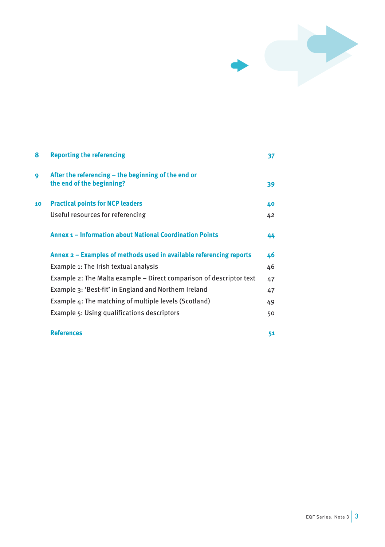

| 8  | <b>Reporting the referencing</b>                                                 | 37 |
|----|----------------------------------------------------------------------------------|----|
| 9  | After the referencing – the beginning of the end or<br>the end of the beginning? | 39 |
| 10 | <b>Practical points for NCP leaders</b>                                          | 40 |
|    | Useful resources for referencing                                                 | 42 |
|    | <b>Annex 1 – Information about National Coordination Points</b>                  | 44 |
|    | Annex 2 – Examples of methods used in available referencing reports              | 46 |
|    | Example 1: The Irish textual analysis                                            | 46 |
|    | Example 2: The Malta example – Direct comparison of descriptor text              | 47 |
|    | Example 3: 'Best-fit' in England and Northern Ireland                            | 47 |
|    | Example 4: The matching of multiple levels (Scotland)                            | 49 |
|    | Example 5: Using qualifications descriptors                                      | 50 |
|    | <b>References</b>                                                                | 51 |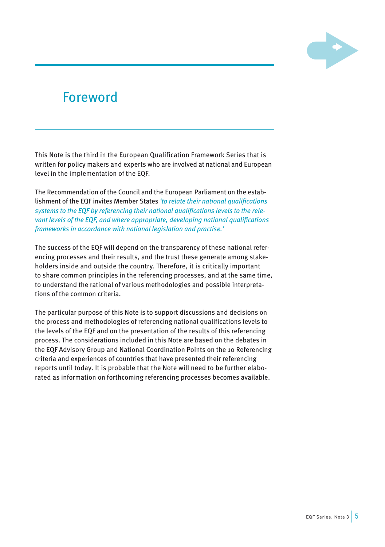

## <span id="page-5-0"></span>Foreword

This Note is the third in the European Qualification Framework Series that is written for policy makers and experts who are involved at national and European level in the implementation of the EQF.

The Recommendation of the Council and the European Parliament on the establishment of the EQF invites Member States *'to relate their national qualifications systems to the EQF by referencing their national qualifications levels to the relevant levels of the EQF, and where appropriate, developing national qualifications frameworks in accordance with national legislation and practise.'*

The success of the EQF will depend on the transparency of these national referencing processes and their results, and the trust these generate among stakeholders inside and outside the country. Therefore, it is critically important to share common principles in the referencing processes, and at the same time, to understand the rational of various methodologies and possible interpretations of the common criteria.

The particular purpose of this Note is to support discussions and decisions on the process and methodologies of referencing national qualifications levels to the levels of the EQF and on the presentation of the results of this referencing process. The considerations included in this Note are based on the debates in the EQF Advisory Group and National Coordination Points on the 10 Referencing criteria and experiences of countries that have presented their referencing reports until today. It is probable that the Note will need to be further elaborated as information on forthcoming referencing processes becomes available.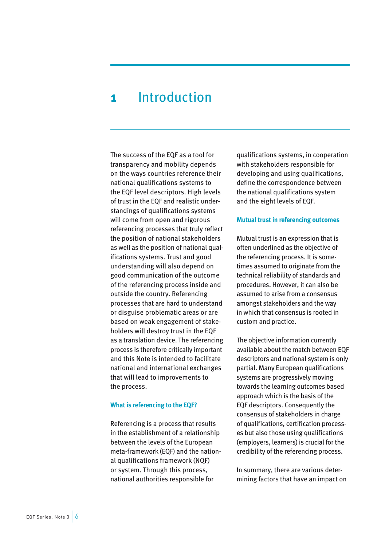## <span id="page-6-0"></span>**1** Introduction

The success of the EQF as a tool for transparency and mobility depends on the ways countries reference their national qualifications systems to the EQF level descriptors. High levels of trust in the EQF and realistic understandings of qualifications systems will come from open and rigorous referencing processes that truly reflect the position of national stakeholders as well as the position of national qualifications systems. Trust and good understanding will also depend on good communication of the outcome of the referencing process inside and outside the country. Referencing processes that are hard to understand or disguise problematic areas or are based on weak engagement of stakeholders will destroy trust in the EQF as a translation device. The referencing process is therefore critically important and this Note is intended to facilitate national and international exchanges that will lead to improvements to the process.

### **What is referencing to the EQF?**

Referencing is a process that results in the establishment of a relationship between the levels of the European meta-framework (EQF) and the national qualifications framework (NQF) or system. Through this process, national authorities responsible for

qualifications systems, in cooperation with stakeholders responsible for developing and using qualifications, define the correspondence between the national qualifications system and the eight levels of EQF.

### **Mutual trust in referencing outcomes**

Mutual trust is an expression that is often underlined as the objective of the referencing process. It is sometimes assumed to originate from the technical reliability of standards and procedures. However, it can also be assumed to arise from a consensus amongst stakeholders and the way in which that consensus is rooted in custom and practice.

The objective information currently available about the match between EQF descriptors and national system is only partial. Many European qualifications systems are progressively moving towards the learning outcomes based approach which is the basis of the EQF descriptors. Consequently the consensus of stakeholders in charge of qualifications, certification processes but also those using qualifications (employers, learners) is crucial for the credibility of the referencing process.

In summary, there are various determining factors that have an impact on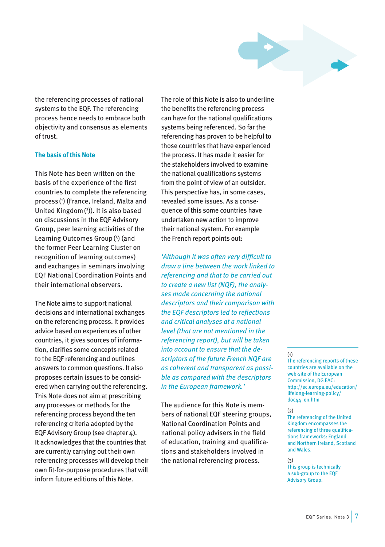

<span id="page-7-0"></span>the referencing processes of national systems to the EQF. The referencing process hence needs to embrace both objectivity and consensus as elements of trust.

### **The basis of this Note**

This Note has been written on the basis of the experience of the first countries to complete the referencing process( 1 ) (France, Ireland, Malta and United Kingdom( 2 )). It is also based on discussions in the EQF Advisory Group, peer learning activities of the Learning Outcomes Group( 3 ) (and the former Peer Learning Cluster on recognition of learning outcomes) and exchanges in seminars involving EQF National Coordination Points and their international observers.

The Note aims to support national decisions and international exchanges on the referencing process. It provides advice based on experiences of other countries, it gives sources of information, clarifies some concepts related to the EQF referencing and outlines answers to common questions. It also proposes certain issues to be considered when carrying out the referencing. This Note does not aim at prescribing any processes or methods for the referencing process beyond the ten referencing criteria adopted by the EQF Advisory Group (see chapter 4). It acknowledges that the countries that are currently carrying out their own referencing processes will develop their own fit-for-purpose procedures that will inform future editions of this Note.

The role of this Note is also to underline the benefits the referencing process can have for the national qualifications systems being referenced. So far the referencing has proven to be helpful to those countries that have experienced the process. It has made it easier for the stakeholders involved to examine the national qualifications systems from the point of view of an outsider. This perspective has, in some cases, revealed some issues. As a consequence of this some countries have undertaken new action to improve their national system. For example the French report points out:

*'Although it was often very difficult to draw a line between the work linked to referencing and that to be carried out to create a new list (NQF), the analyses made concerning the national descriptors and their comparison with the EQF descriptors led to reflections and critical analyses at a national level (that are not mentioned in the referencing report), but will be taken into account to ensure that the descriptors of the future French NQF are as coherent and transparent as possible as compared with the descriptors in the European framework.'*

The audience for this Note is members of national EQF steering groups, National Coordination Points and national policy advisers in the field of education, training and qualifications and stakeholders involved in the national referencing process.

#### (1)

The referencing reports of these countries are available on the web-site of the European Commission, DG EAC: [http://ec.europa.eu/education/](http://ec.europa.eu/education/lifelong-learning-policy/doc44_en.htm) [lifelong-learning-policy/](http://ec.europa.eu/education/lifelong-learning-policy/doc44_en.htm) [doc44\\_en.htm](http://ec.europa.eu/education/lifelong-learning-policy/doc44_en.htm)

#### $(2)$

The referencing of the United Kingdom encompasses the referencing of three qualifications frameworks: England and Northern Ireland, Scotland and Wales.

### (3)

This group is technically a sub-group to the EQF Advisory Group.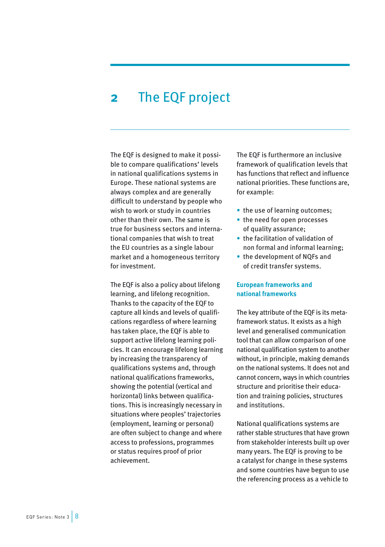## <span id="page-8-0"></span>**2** The EQF project

The EQF is designed to make it possible to compare qualifications' levels in national qualifications systems in Europe. These national systems are always complex and are generally difficult to understand by people who wish to work or study in countries other than their own. The same is true for business sectors and international companies that wish to treat the EU countries as a single labour market and a homogeneous territory for investment.

The EQF is also a policy about lifelong learning, and lifelong recognition. Thanks to the capacity of the EQF to capture all kinds and levels of qualifications regardless of where learning has taken place, the EQF is able to support active lifelong learning policies. It can encourage lifelong learning by increasing the transparency of qualifications systems and, through national qualifications frameworks, showing the potential (vertical and horizontal) links between qualifications. This is increasingly necessary in situations where peoples' trajectories (employment, learning or personal) are often subject to change and where access to professions, programmes or status requires proof of prior achievement.

The EQF is furthermore an inclusive framework of qualification levels that has functions that reflect and influence national priorities. These functions are, for example:

- the use of learning outcomes;
- the need for open processes of quality assurance;
- the facilitation of validation of non formal and informal learning;
- the development of NQFs and of credit transfer systems.

## **European frameworks and national frameworks**

The key attribute of the EQF is its metaframework status. It exists as a high level and generalised communication tool that can allow comparison of one national qualification system to another without, in principle, making demands on the national systems. It does not and cannot concern, ways in which countries structure and prioritise their education and training policies, structures and institutions.

National qualifications systems are rather stable structures that have grown from stakeholder interests built up over many years. The EQF is proving to be a catalyst for change in these systems and some countries have begun to use the referencing process as a vehicle to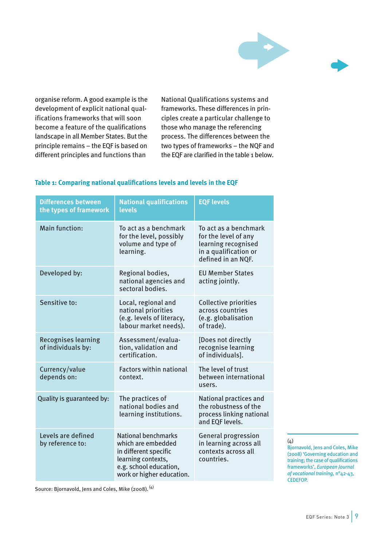

organise reform. A good example is the development of explicit national qualifications frameworks that will soon become a feature of the qualifications landscape in all Member States. But the principle remains – the EQF is based on different principles and functions than

National Qualifications systems and frameworks. These differences in principles create a particular challenge to those who manage the referencing process. The differences between the two types of frameworks – the NQF and the EQF are clarified in the table 1 below.

| <b>Differences between</b><br>the types of framework | <b>National qualifications</b><br>levels                                                                                                        | <b>EQF levels</b>                                                                                                   |
|------------------------------------------------------|-------------------------------------------------------------------------------------------------------------------------------------------------|---------------------------------------------------------------------------------------------------------------------|
| Main function:                                       | To act as a benchmark<br>for the level, possibly<br>volume and type of<br>learning.                                                             | To act as a benchmark<br>for the level of any<br>learning recognised<br>in a qualification or<br>defined in an NQF. |
| Developed by:                                        | Regional bodies,<br>national agencies and<br>sectoral bodies.                                                                                   | <b>EU Member States</b><br>acting jointly.                                                                          |
| Sensitive to:                                        | Local, regional and<br>national priorities<br>(e.g. levels of literacy,<br>labour market needs).                                                | Collective priorities<br>across countries<br>(e.g. globalisation<br>of trade).                                      |
| <b>Recognises learning</b><br>of individuals by:     | Assessment/evalua-<br>tion, validation and<br>certification.                                                                                    | [Does not directly<br>recognise learning<br>of individuals].                                                        |
| Currency/value<br>depends on:                        | <b>Factors within national</b><br>context.                                                                                                      | The level of trust<br>between international<br>users.                                                               |
| Quality is guaranteed by:                            | The practices of<br>national bodies and<br>learning institutions.                                                                               | National practices and<br>the robustness of the<br>process linking national<br>and EOF levels.                      |
| Levels are defined<br>by reference to:               | National benchmarks<br>which are embedded<br>in different specific<br>learning contexts,<br>e.g. school education,<br>work or higher education. | <b>General progression</b><br>in learning across all<br>contexts across all<br>countries.                           |

## **Table 1: Comparing national qualifications levels and levels in the EQF**

(4)

Bjornavold, Jens and Coles, Mike (2008) 'Governing education and training; the case of qualifications frameworks', *European Journal of vocational training,* n°42-43, CEDEFOP.

Source: Bjornavold, Jens and Coles, Mike (2008). (4)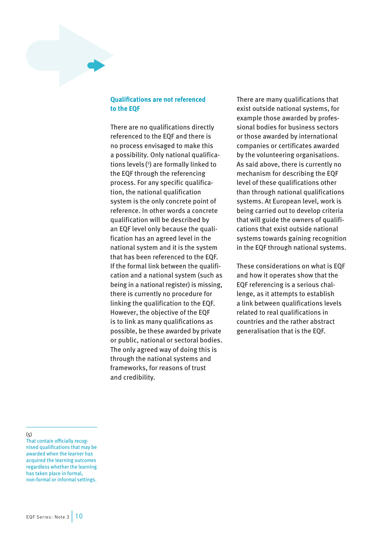## <span id="page-10-0"></span>**Qualifications are not referenced to the EQF**

There are no qualifications directly referenced to the EQF and there is no process envisaged to make this a possibility. Only national qualifications levels( 5 ) are formally linked to the EQF through the referencing process. For any specific qualification, the national qualification system is the only concrete point of reference. In other words a concrete qualification will be described by an EQF level only because the qualification has an agreed level in the national system and it is the system that has been referenced to the EQF. If the formal link between the qualification and a national system (such as being in a national register) is missing, there is currently no procedure for linking the qualification to the EQF. However, the objective of the EQF is to link as many qualifications as possible, be these awarded by private or public, national or sectoral bodies. The only agreed way of doing this is through the national systems and frameworks, for reasons of trust and credibility.

There are many qualifications that exist outside national systems, for example those awarded by professional bodies for business sectors or those awarded by international companies or certificates awarded by the volunteering organisations. As said above, there is currently no mechanism for describing the EQF level of these qualifications other than through national qualifications systems. At European level, work is being carried out to develop criteria that will guide the owners of qualifications that exist outside national systems towards gaining recognition in the EQF through national systems.

These considerations on what is EQF and how it operates show that the EQF referencing is a serious challenge, as it attempts to establish a link between qualifications levels related to real qualifications in countries and the rather abstract generalisation that is the EQF.

(5)

That contain officially recognised qualifications that may be awarded when the learner has acquired the learning outcomes regardless whether the learning has taken place in formal, non-formal or informal settings.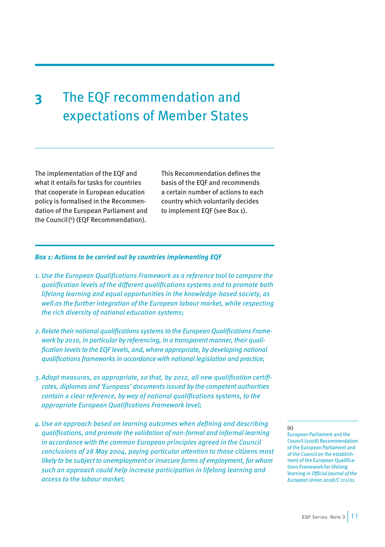## <span id="page-11-0"></span>**3** The EQF recommendation and expectations of Member States

The implementation of the EQF and what it entails for tasks for countries that cooperate in European education policy is formalised in the Recommendation of the European Parliament and the Council( 6 ) (EQF Recommendation). This Recommendation defines the basis of the EQF and recommends a certain number of actions to each country which voluntarily decides to implement EQF (see Box 1).

## *Box 1: Actions to be carried out by countries implementing EQF*

- *1. Use the European Qualifications Framework as a reference tool to compare the qualification levels of the different qualifications systems and to promote both lifelong learning and equal opportunities in the knowledge-based society, as well as the further integration of the European labour market, while respecting the rich diversity of national education systems;*
- *2.Relate their national qualifications systems to the European Qualifications Framework by 2010, in particular by referencing, in a transparent manner, their qualification levels to the EQF levels, and, where appropriate, by developing national qualifications frameworks in accordance with national legislation and practice;*
- *3.Adopt measures, as appropriate, so that, by 2012, all new qualification certificates, diplomas and 'Europass' documents issued by the competent authorities contain a clear reference, by way of national qualifications systems, to the appropriate European Qualifications Framework level;*
- *4.Use an approach based on learning outcomes when defining and describing qualifications, and promote the validation of non-formal and informal learning in accordance with the common European principles agreed in the Council conclusions of 28 May 2004, paying particular attention to those citizens most likely to be subject to unemployment or insecure forms of employment, for whom such an approach could help increase participation in lifelong learning and access to the labour market;*

#### (6)

European Parliament and the Council (2008) Recommendation of the European Parliament and of the Council on the establishment of the European Qualifications Framework for lifelong learning in *Official Journal of the European Union 2008/C 111/01.*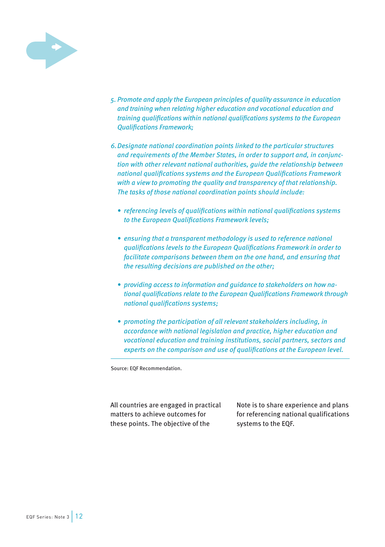

- *5. Promote and apply the European principles of quality assurance in education and training when relating higher education and vocational education and training qualifications within national qualifications systems to the European Qualifications Framework;*
- *6.Designate national coordination points linked to the particular structures and requirements of the Member States, in order to support and, in conjunction with other relevant national authorities, guide the relationship between national qualifications systems and the European Qualifications Framework with a view to promoting the quality and transparency of that relationship. The tasks of those national coordination points should include:*
	- *• referencing levels of qualifications within national qualifications systems to the European Qualifications Framework levels;*
	- *• ensuring that a transparent methodology is used to reference national qualifications levels to the European Qualifications Framework in order to facilitate comparisons between them on the one hand, and ensuring that the resulting decisions are published on the other;*
	- *• providing access to information and guidance to stakeholders on how national qualifications relate to the European Qualifications Framework through national qualifications systems;*
	- *• promoting the participation of all relevant stakeholders including, in accordance with national legislation and practice, higher education and vocational education and training institutions, social partners, sectors and experts on the comparison and use of qualifications at the European level.*

Source: EQF Recommendation.

All countries are engaged in practical matters to achieve outcomes for these points. The objective of the

Note is to share experience and plans for referencing national qualifications systems to the EQF.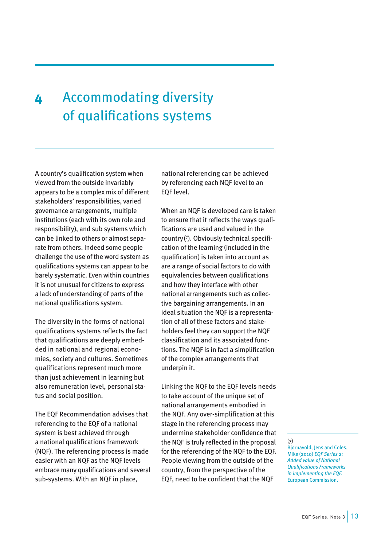## <span id="page-13-0"></span>**4** Accommodating diversity of qualifications systems

A country's qualification system when viewed from the outside invariably appears to be a complex mix of different stakeholders' responsibilities, varied governance arrangements, multiple institutions (each with its own role and responsibility), and sub systems which can be linked to others or almost separate from others. Indeed some people challenge the use of the word system as qualifications systems can appear to be barely systematic. Even within countries it is not unusual for citizens to express a lack of understanding of parts of the national qualifications system.

The diversity in the forms of national qualifications systems reflects the fact that qualifications are deeply embedded in national and regional economies, society and cultures. Sometimes qualifications represent much more than just achievement in learning but also remuneration level, personal status and social position.

The EQF Recommendation advises that referencing to the EQF of a national system is best achieved through a national qualifications framework (NQF). The referencing process is made easier with an NQF as the NQF levels embrace many qualifications and several sub-systems. With an NQF in place,

national referencing can be achieved by referencing each NQF level to an EQF level.

When an NQF is developed care is taken to ensure that it reflects the ways qualifications are used and valued in the country( 7 ). Obviously technical specification of the learning (included in the qualification) is taken into account as are a range of social factors to do with equivalencies between qualifications and how they interface with other national arrangements such as collective bargaining arrangements. In an ideal situation the NQF is a representation of all of these factors and stakeholders feel they can support the NQF classification and its associated functions. The NQF is in fact a simplification of the complex arrangements that underpin it.

Linking the NQF to the EQF levels needs to take account of the unique set of national arrangements embodied in the NQF. Any over-simplification at this stage in the referencing process may undermine stakeholder confidence that the NQF is truly reflected in the proposal for the referencing of the NQF to the EQF. People viewing from the outside of the country, from the perspective of the EQF, need to be confident that the NQF

#### (7)

Bjornavold, Jens and Coles, Mike (2010) *EQF Series 2: Added value of National Qualifications Frameworks in implementing the EQF.* European Commission.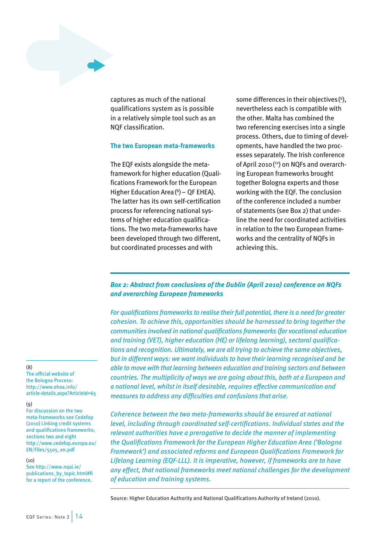<span id="page-14-0"></span>captures as much of the national qualifications system as is possible in a relatively simple tool such as an NQF classification.

#### **The two European meta-frameworks**

The EQF exists alongside the metaframework for higher education (Qualifications Framework for the European Higher Education Area( 8 )– QF EHEA). The latter has its own self-certification process for referencing national systems of higher education qualifications. The two meta-frameworks have been developed through two different, but coordinated processes and with

some differences in their objectives( 9 ), nevertheless each is compatible with the other. Malta has combined the two referencing exercises into a single process. Others, due to timing of developments, have handled the two processes separately. The Irish conference of April 2010( 10) on NQFs and overarching European frameworks brought together Bologna experts and those working with the EQF. The conclusion of the conference included a number of statements (see Box 2) that underline the need for coordinated activities in relation to the two European frameworks and the centrality of NQFs in achieving this.

## *Box 2: Abstract from conclusions of the Dublin (April 2010) conference on NQFs and overarching European frameworks*

*For qualifications frameworks to realise their full potential, there is a need for greater cohesion. To achieve this, opportunities should be harnessed to bring together the communities involved in national qualifications frameworks (for vocational education and training (VET), higher education (HE) or lifelong learning), sectoral qualifications and recognition. Ultimately, we are all trying to achieve the same objectives, but in different ways: we want individuals to have their learning recognised and be able to move with that learning between education and training sectors and between countries. The multiplicity of ways we are going about this, both at a European and a national level, whilst in itself desirable, requires effective communication and measures to address any difficulties and confusions that arise.* 

*Coherence between the two meta-frameworks should be ensured at national level, including through coordinated self-certifications. Individual states and the relevant authorities have a prerogative to decide the manner of implementing the Qualifications Framework for the European Higher Education Area ('Bologna Framework') and associated reforms and European Qualifications Framework for Lifelong Learning (EQF-LLL). It is imperative, however, if frameworks are to have any effect, that national frameworks meet national challenges for the development of education and training systems.*

Source: Higher Education Authority and National Qualifications Authority of Ireland (2010).

#### (8)

The official website of the Bologna Process: [http://www.ehea.info/](http://www.ehea.info/article-details.aspx?<00AD>ArticleId=65) [article-details.aspx?ArticleId=65](http://www.ehea.info/article-details.aspx?<00AD>ArticleId=65)

#### (9)

For discussion on the two meta-frameworks see Cedefop (2010) Linking credit systems and qualifications frameworks; sections two and eight [http://www.cedefop.europa.eu/](http://www.cedefop.europa.eu/EN/Files/5505_en.pdf) [EN/Files/5505\\_en.pdf](http://www.cedefop.europa.eu/EN/Files/5505_en.pdf)

#### $(10)$

See [http://www.nqai.ie/](http://www.nqai.ie/publications_by_topic.html#fi) [publications\\_by\\_topic.html#fi](http://www.nqai.ie/publications_by_topic.html#fi) for a report of the conference.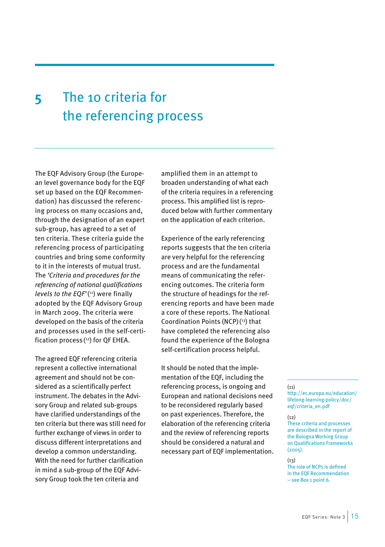## <span id="page-15-0"></span>**5** The 10 criteria for the referencing process

The EQF Advisory Group (the European level governance body for the EQF set up based on the EQF Recommendation) has discussed the referencing process on many occasions and, through the designation of an expert sub-group, has agreed to a set of ten criteria. These criteria guide the referencing process of participating countries and bring some conformity to it in the interests of mutual trust. The *'Criteria and procedures for the referencing of national qualifications levels to the EQF'*( 11) were finally adopted by the EQF Advisory Group in March 2009. The criteria were developed on the basis of the criteria and processes used in the self-certification process( 12) for QF EHEA.

The agreed EQF referencing criteria represent a collective international agreement and should not be considered as a scientifically perfect instrument. The debates in the Advisory Group and related sub-groups have clarified understandings of the ten criteria but there was still need for further exchange of views in order to discuss different interpretations and develop a common understanding. With the need for further clarification in mind a sub-group of the EQF Advisory Group took the ten criteria and

amplified them in an attempt to broaden understanding of what each of the criteria requires in a referencing process. This amplified list is reproduced below with further commentary on the application of each criterion.

Experience of the early referencing reports suggests that the ten criteria are very helpful for the referencing process and are the fundamental means of communicating the referencing outcomes. The criteria form the structure of headings for the referencing reports and have been made a core of these reports. The National Coordination Points (NCP)( 13) that have completed the referencing also found the experience of the Bologna self-certification process helpful.

It should be noted that the implementation of the EQF, including the referencing process, is ongoing and European and national decisions need to be reconsidered regularly based on past experiences. Therefore, the elaboration of the referencing criteria and the review of referencing reports should be considered a natural and necessary part of EQF implementation.

## $(11)$

[http://ec.europa.eu/education/](http://ec.europa.eu/education/lifelong-learning-policy/doc/eqf/criteria_en.pdf) [lifelong-learning-policy/doc/](http://ec.europa.eu/education/lifelong-learning-policy/doc/eqf/criteria_en.pdf) [eqf/criteria\\_en.pdf](http://ec.europa.eu/education/lifelong-learning-policy/doc/eqf/criteria_en.pdf)

#### $(12)$

These criteria and processes are described in the report of the Bologna Working Group on Qualifications Frameworks (2005).

#### $(13)$

The role of NCPs is defined in the EQF Recommendation – see Box 1 point 6.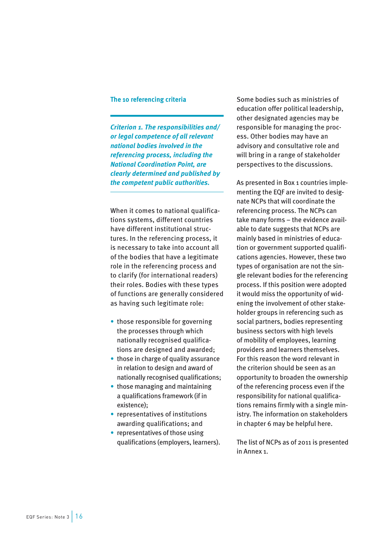## **The 10 referencing criteria**

*Criterion 1. The responsibilities and/ or legal competence of all relevant national bodies involved in the referencing process, including the National Coordination Point, are clearly determined and published by the competent public authorities.* 

When it comes to national qualifications systems, different countries have different institutional structures. In the referencing process, it is necessary to take into account all of the bodies that have a legitimate role in the referencing process and to clarify (for international readers) their roles. Bodies with these types of functions are generally considered as having such legitimate role:

- those responsible for governing the processes through which nationally recognised qualifications are designed and awarded;
- those in charge of quality assurance in relation to design and award of nationally recognised qualifications;
- those managing and maintaining a qualifications framework (if in existence);
- representatives of institutions awarding qualifications; and
- representatives of those using qualifications (employers, learners).

Some bodies such as ministries of education offer political leadership, other designated agencies may be responsible for managing the process. Other bodies may have an advisory and consultative role and will bring in a range of stakeholder perspectives to the discussions.

As presented in Box 1 countries implementing the EQF are invited to designate NCPs that will coordinate the referencing process. The NCPs can take many forms – the evidence available to date suggests that NCPs are mainly based in ministries of education or government supported qualifications agencies. However, these two types of organisation are not the single relevant bodies for the referencing process. If this position were adopted it would miss the opportunity of widening the involvement of other stakeholder groups in referencing such as social partners, bodies representing business sectors with high levels of mobility of employees, learning providers and learners themselves. For this reason the word relevant in the criterion should be seen as an opportunity to broaden the ownership of the referencing process even if the responsibility for national qualifications remains firmly with a single ministry. The information on stakeholders in chapter 6 may be helpful here.

The list of NCPs as of 2011 is presented in Annex 1.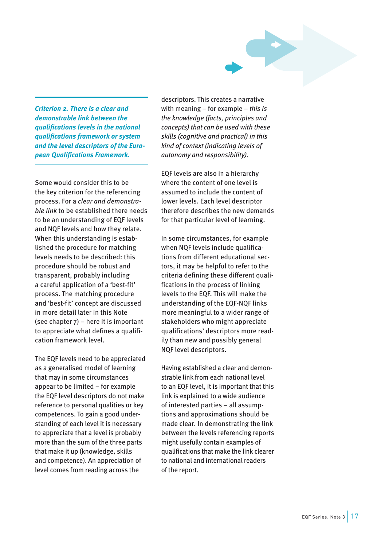*Criterion 2. There is a clear and demonstrable link between the qualifications levels in the national qualifications framework or system and the level descriptors of the European Qualifications Framework.*

Some would consider this to be the key criterion for the referencing process. For a *clear and demonstrable link* to be established there needs to be an understanding of EQF levels and NQF levels and how they relate. When this understanding is established the procedure for matching levels needs to be described: this procedure should be robust and transparent, probably including a careful application of a 'best-fit' process. The matching procedure and 'best-fit' concept are discussed in more detail later in this Note (see chapter 7) – here it is important to appreciate what defines a qualification framework level.

The EQF levels need to be appreciated as a generalised model of learning that may in some circumstances appear to be limited – for example the EQF level descriptors do not make reference to personal qualities or key competences. To gain a good understanding of each level it is necessary to appreciate that a level is probably more than the sum of the three parts that make it up (knowledge, skills and competence). An appreciation of level comes from reading across the

descriptors. This creates a narrative with meaning – for example – *this is the knowledge (facts, principles and concepts) that can be used with these skills (cognitive and practical) in this kind of context (indicating levels of autonomy and responsibility).* 

EQF levels are also in a hierarchy where the content of one level is assumed to include the content of lower levels. Each level descriptor therefore describes the new demands for that particular level of learning.

In some circumstances, for example when NQF levels include qualifications from different educational sectors, it may be helpful to refer to the criteria defining these different qualifications in the process of linking levels to the EQF. This will make the understanding of the EQF-NQF links more meaningful to a wider range of stakeholders who might appreciate qualifications' descriptors more readily than new and possibly general NQF level descriptors.

Having established a clear and demonstrable link from each national level to an EQF level, it is important that this link is explained to a wide audience of interested parties – all assumptions and approximations should be made clear. In demonstrating the link between the levels referencing reports might usefully contain examples of qualifications that make the link clearer to national and international readers of the report.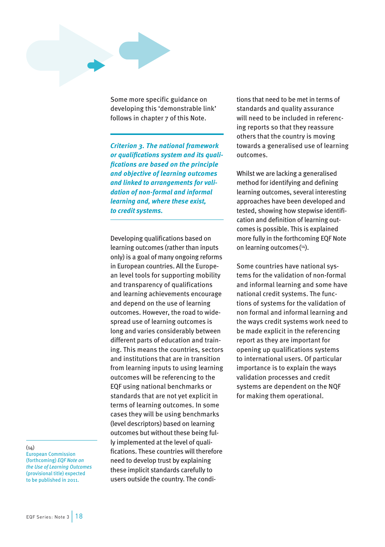Some more specific guidance on developing this 'demonstrable link' follows in chapter 7 of this Note.

*Criterion 3. The national framework or qualifications system and its qualifications are based on the principle and objective of learning outcomes and linked to arrangements for validation of non-formal and informal learning and, where these exist, to credit systems.*

Developing qualifications based on learning outcomes (rather than inputs only) is a goal of many ongoing reforms in European countries. All the European level tools for supporting mobility and transparency of qualifications and learning achievements encourage and depend on the use of learning outcomes. However, the road to widespread use of learning outcomes is long and varies considerably between different parts of education and training. This means the countries, sectors and institutions that are in transition from learning inputs to using learning outcomes will be referencing to the EQF using national benchmarks or standards that are not yet explicit in terms of learning outcomes. In some cases they will be using benchmarks (level descriptors) based on learning outcomes but without these being fully implemented at the level of qualifications. These countries will therefore need to develop trust by explaining these implicit standards carefully to users outside the country. The condi-

tions that need to be met in terms of standards and quality assurance will need to be included in referencing reports so that they reassure others that the country is moving towards a generalised use of learning outcomes.

Whilst we are lacking a generalised method for identifying and defining learning outcomes, several interesting approaches have been developed and tested, showing how stepwise identification and definition of learning outcomes is possible. This is explained more fully in the forthcoming EQF Note on learning outcomes( 14).

Some countries have national systems for the validation of non-formal and informal learning and some have national credit systems. The functions of systems for the validation of non formal and informal learning and the ways credit systems work need to be made explicit in the referencing report as they are important for opening up qualifications systems to international users. Of particular importance is to explain the ways validation processes and credit systems are dependent on the NQF for making them operational.

 $(14)$ 

European Commission (forthcoming) *EQF Note on the Use of Learning Outcomes* (provisional title) expected to be published in 2011.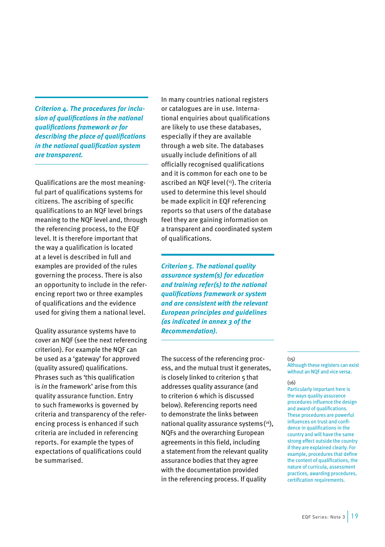*Criterion 4. The procedures for inclusion of qualifications in the national qualifications framework or for describing the place of qualifications in the national qualification system are transparent.*

Qualifications are the most meaningful part of qualifications systems for citizens. The ascribing of specific qualifications to an NQF level brings meaning to the NQF level and, through the referencing process, to the EQF level. It is therefore important that the way a qualification is located at a level is described in full and examples are provided of the rules governing the process. There is also an opportunity to include in the referencing report two or three examples of qualifications and the evidence used for giving them a national level.

Quality assurance systems have to cover an NQF (see the next referencing criterion). For example the NQF can be used as a 'gateway' for approved (quality assured) qualifications. Phrases such as 'this qualification is *in* the framework' arise from this quality assurance function. Entry to such frameworks is governed by criteria and transparency of the referencing process is enhanced if such criteria are included in referencing reports. For example the types of expectations of qualifications could be summarised.

In many countries national registers or catalogues are in use. International enquiries about qualifications are likely to use these databases, especially if they are available through a web site. The databases usually include definitions of all officially recognised qualifications and it is common for each one to be ascribed an NQF level( 15). The criteria used to determine this level should be made explicit in EQF referencing reports so that users of the database feel they are gaining information on a transparent and coordinated system of qualifications.

*Criterion 5. The national quality assurance system(s) for education and training refer(s) to the national qualifications framework or system and are consistent with the relevant European principles and guidelines (as indicated in annex 3 of the Recommendation).*

The success of the referencing process, and the mutual trust it generates, is closely linked to criterion 5 that addresses quality assurance (and to criterion 6 which is discussed below). Referencing reports need to demonstrate the links between national quality assurance systems( 16), NQFs and the overarching European agreements in this field, including a statement from the relevant quality assurance bodies that they agree with the documentation provided in the referencing process. If quality

#### $(15)$

Although these registers can exist without an NQF and vice versa.

## (16)

Particularly important here is the ways quality assurance procedures influence the design and award of qualifications. These procedures are powerful influences on trust and confidence in qualifications in the country and will have the same strong effect outside the country if they are explained clearly. For example, procedures that define the content of qualifications, the nature of curricula, assessment practices, awarding procedures, certification requirements.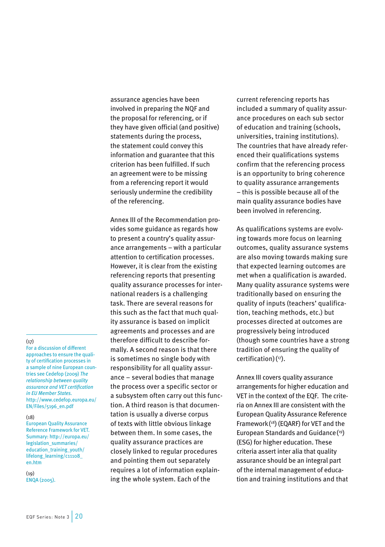assurance agencies have been involved in preparing the NQF and the proposal for referencing, or if they have given official (and positive) statements during the process, the statement could convey this information and guarantee that this criterion has been fulfilled. If such an agreement were to be missing from a referencing report it would seriously undermine the credibility of the referencing.

Annex III of the Recommendation provides some guidance as regards how to present a country's quality assurance arrangements – with a particular attention to certification processes. However, it is clear from the existing referencing reports that presenting quality assurance processes for international readers is a challenging task. There are several reasons for this such as the fact that much quality assurance is based on implicit agreements and processes and are therefore difficult to describe formally. A second reason is that there is sometimes no single body with responsibility for all quality assurance – several bodies that manage the process over a specific sector or a subsystem often carry out this function. A third reason is that documentation is usually a diverse corpus of texts with little obvious linkage between them. In some cases, the quality assurance practices are closely linked to regular procedures and pointing them out separately requires a lot of information explaining the whole system. Each of the

current referencing reports has included a summary of quality assurance procedures on each sub sector of education and training (schools, universities, training institutions). The countries that have already referenced their qualifications systems confirm that the referencing process is an opportunity to bring coherence to quality assurance arrangements – this is possible because all of the main quality assurance bodies have been involved in referencing.

As qualifications systems are evolving towards more focus on learning outcomes, quality assurance systems are also moving towards making sure that expected learning outcomes are met when a qualification is awarded. Many quality assurance systems were traditionally based on ensuring the quality of inputs (teachers' qualification, teaching methods, etc.) but processes directed at outcomes are progressively being introduced (though some countries have a strong tradition of ensuring the quality of certification)( 17).

Annex III covers quality assurance arrangements for higher education and VET in the context of the EQF. The criteria on Annex III are consistent with the European Quality Assurance Reference Framework( 18) (EQARF) for VET and the European Standards and Guidance( 19) (ESG) for higher education. These criteria assert inter alia that quality assurance should be an integral part of the internal management of education and training institutions and that

### $(17)$

For a discussion of different approaches to ensure the quality of certification processes in a sample of nine European countries see Cedefop (2009) *The relationship between quality assurance and VET certification in EU Member States.*  [http://www.cedefop.europa.eu/](http://www.cedefop.europa.eu/EN/Files/5196_en.pdf) [EN/Files/5196\\_en.pdf](http://www.cedefop.europa.eu/EN/Files/5196_en.pdf)

#### $(18)$

European Quality Assurance Reference Framework for VET. Summary: [http://europa.eu/](http://europa.eu/legislation_summaries/education_training_youth/lifelong_learning/c11108_en.htm) [legislation\\_summaries/](http://europa.eu/legislation_summaries/education_training_youth/lifelong_learning/c11108_en.htm) [education\\_training\\_youth/](http://europa.eu/legislation_summaries/education_training_youth/lifelong_learning/c11108_en.htm) [lifelong\\_learning/c11108\\_](http://europa.eu/legislation_summaries/education_training_youth/lifelong_learning/c11108_en.htm) [en.htm](http://europa.eu/legislation_summaries/education_training_youth/lifelong_learning/c11108_en.htm)

 $(19)$ ENQA (2005).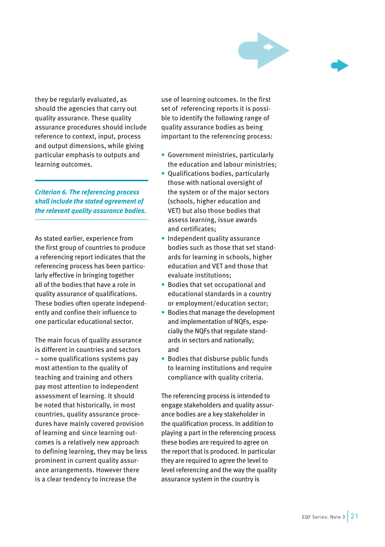

they be regularly evaluated, as should the agencies that carry out quality assurance. These quality assurance procedures should include reference to context, input, process and output dimensions, while giving particular emphasis to outputs and learning outcomes.

*Criterion 6. The referencing process shall include the stated agreement of the relevant quality assurance bodies.*

As stated earlier, experience from the first group of countries to produce a referencing report indicates that the referencing process has been particularly effective in bringing together all of the bodies that have a role in quality assurance of qualifications. These bodies often operate independently and confine their influence to one particular educational sector.

The main focus of quality assurance is different in countries and sectors – some qualifications systems pay most attention to the quality of teaching and training and others pay most attention to independent assessment of learning. It should be noted that historically, in most countries, quality assurance procedures have mainly covered provision of learning and since learning outcomes is a relatively new approach to defining learning, they may be less prominent in current quality assurance arrangements. However there is a clear tendency to increase the

use of learning outcomes. In the first set of referencing reports it is possible to identify the following range of quality assurance bodies as being important to the referencing process:

- Government ministries, particularly the education and labour ministries;
- Qualifications bodies, particularly those with national oversight of the system or of the major sectors (schools, higher education and VET) but also those bodies that assess learning, issue awards and certificates;
- Independent quality assurance bodies such as those that set standards for learning in schools, higher education and VET and those that evaluate institutions;
- Bodies that set occupational and educational standards in a country or employment/education sector;
- Bodies that manage the development and implementation of NQFs, especially the NQFs that regulate standards in sectors and nationally; and
- Bodies that disburse public funds to learning institutions and require compliance with quality criteria.

The referencing process is intended to engage stakeholders and quality assurance bodies are a key stakeholder in the qualification process. In addition to playing a part in the referencing process these bodies are required to agree on the report that is produced. In particular they are required to agree the level to level referencing and the way the quality assurance system in the country is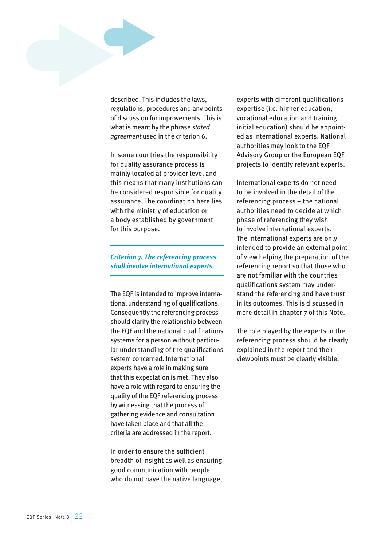

described. This includes the laws, regulations, procedures and any points of discussion for improvements. This is what is meant by the phrase *stated agreement* used in the criterion 6.

In some countries the responsibility for quality assurance process is mainly located at provider level and this means that many institutions can be considered responsible for quality assurance. The coordination here lies with the ministry of education or a body established by government for this purpose.

## *Criterion 7. The referencing process shall involve international experts.*

The EQF is intended to improve international understanding of qualifications. Consequently the referencing process should clarify the relationship between the EQF and the national qualifications systems for a person without particular understanding of the qualifications system concerned. International experts have a role in making sure that this expectation is met. They also have a role with regard to ensuring the quality of the EQF referencing process by witnessing that the process of gathering evidence and consultation have taken place and that all the criteria are addressed in the report.

In order to ensure the sufficient breadth of insight as well as ensuring good communication with people who do not have the native language,

experts with different qualifications expertise (i.e. higher education, vocational education and training, initial education) should be appointed as international experts. National authorities may look to the EQF Advisory Group or the European EQF projects to identify relevant experts.

International experts do not need to be involved in the detail of the referencing process – the national authorities need to decide at which phase of referencing they wish to involve international experts. The international experts are only intended to provide an external point of view helping the preparation of the referencing report so that those who are not familiar with the countries qualifications system may understand the referencing and have trust in its outcomes. This is discussed in more detail in chapter 7 of this Note.

The role played by the experts in the referencing process should be clearly explained in the report and their viewpoints must be clearly visible.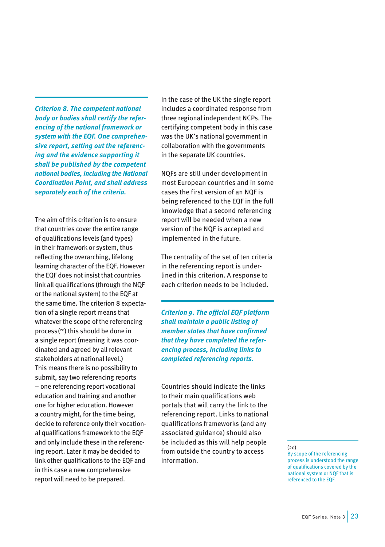*Criterion 8. The competent national body or bodies shall certify the referencing of the national framework or system with the EQF. One comprehensive report, setting out the referencing and the evidence supporting it shall be published by the competent national bodies, including the National Coordination Point, and shall address separately each of the criteria.*

The aim of this criterion is to ensure that countries cover the entire range of qualifications levels (and types) in their framework or system, thus reflecting the overarching, lifelong learning character of the EQF. However the EQF does not insist that countries link all qualifications (through the NQF or the national system) to the EQF at the same time. The criterion 8 expectation of a single report means that whatever the scope of the referencing process( 20) this should be done in a single report (meaning it was coordinated and agreed by all relevant stakeholders at national level.) This means there is no possibility to submit, say two referencing reports – one referencing report vocational education and training and another one for higher education. However a country might, for the time being, decide to reference only their vocational qualifications framework to the EQF and only include these in the referencing report. Later it may be decided to link other qualifications to the EQF and in this case a new comprehensive report will need to be prepared.

In the case of the UK the single report includes a coordinated response from three regional independent NCPs. The certifying competent body in this case was the UK's national government in collaboration with the governments in the separate UK countries.

NQFs are still under development in most European countries and in some cases the first version of an NQF is being referenced to the EQF in the full knowledge that a second referencing report will be needed when a new version of the NQF is accepted and implemented in the future.

The centrality of the set of ten criteria in the referencing report is underlined in this criterion. A response to each criterion needs to be included.

*Criterion 9. The official EQF platform shall maintain a public listing of member states that have confirmed that they have completed the referencing process, including links to completed referencing reports.*

Countries should indicate the links to their main qualifications web portals that will carry the link to the referencing report. Links to national qualifications frameworks (and any associated guidance) should also be included as this will help people from outside the country to access information.

### $(20)$

By scope of the referencing process is understood the range of qualifications covered by the national system or NQF that is referenced to the EQF.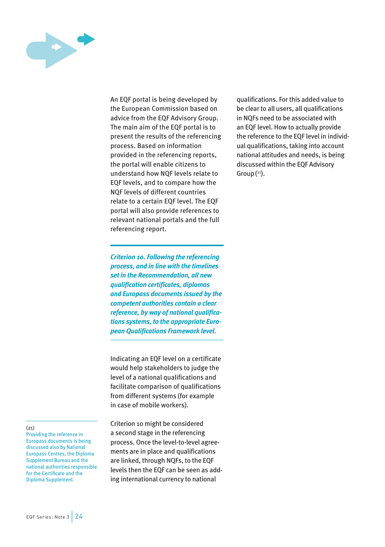

An EQF portal is being developed by the European Commission based on advice from the EQF Advisory Group. The main aim of the EQF portal is to present the results of the referencing process. Based on information provided in the referencing reports, the portal will enable citizens to understand how NQF levels relate to EQF levels, and to compare how the NQF levels of different countries relate to a certain EQF level. The EQF portal will also provide references to relevant national portals and the full referencing report.

*Criterion 10. Following the referencing process, and in line with the timelines set in the Recommendation, all new qualification certificates, diplomas and Europass documents issued by the competent authorities contain a clear reference, by way of national qualifications systems, to the appropriate European Qualifications Framework level.*

Indicating an EQF level on a certificate would help stakeholders to judge the level of a national qualifications and facilitate comparison of qualifications from different systems (for example in case of mobile workers).

Criterion 10 might be considered a second stage in the referencing process. Once the level-to-level agreements are in place and qualifications are linked, through NQFs, to the EQF levels then the EQF can be seen as adding international currency to national

qualifications. For this added value to be clear to all users, all qualifications in NQFs need to be associated with an EQF level. How to actually provide the reference to the EQF level in individual qualifications, taking into account national attitudes and needs, is being discussed within the EQF Advisory Group( 21).

#### $(21)$

Providing the reference in Europass documents is being discussed also by National Europass Centres, the Diploma Supplement Bureau and the national authorities responsible for the Certificate and the Diploma Supplement.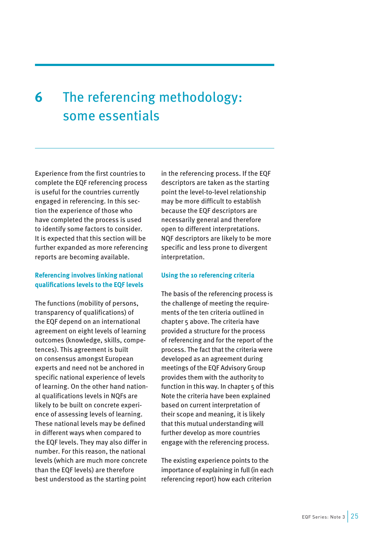## <span id="page-25-0"></span>**6** The referencing methodology: some essentials

Experience from the first countries to complete the EQF referencing process is useful for the countries currently engaged in referencing. In this section the experience of those who have completed the process is used to identify some factors to consider. It is expected that this section will be further expanded as more referencing reports are becoming available.

## **Referencing involves linking national qualifications levels to the EQF levels**

The functions (mobility of persons, transparency of qualifications) of the EQF depend on an international agreement on eight levels of learning outcomes (knowledge, skills, competences). This agreement is built on consensus amongst European experts and need not be anchored in specific national experience of levels of learning. On the other hand national qualifications levels in NQFs are likely to be built on concrete experience of assessing levels of learning. These national levels may be defined in different ways when compared to the EQF levels. They may also differ in number. For this reason, the national levels (which are much more concrete than the EQF levels) are therefore best understood as the starting point

in the referencing process. If the EQF descriptors are taken as the starting point the level-to-level relationship may be more difficult to establish because the EQF descriptors are necessarily general and therefore open to different interpretations. NQF descriptors are likely to be more specific and less prone to divergent interpretation.

## **Using the 10 referencing criteria**

The basis of the referencing process is the challenge of meeting the requirements of the ten criteria outlined in chapter 5 above. The criteria have provided a structure for the process of referencing and for the report of the process. The fact that the criteria were developed as an agreement during meetings of the EQF Advisory Group provides them with the authority to function in this way. In chapter 5 of this Note the criteria have been explained based on current interpretation of their scope and meaning, it is likely that this mutual understanding will further develop as more countries engage with the referencing process.

The existing experience points to the importance of explaining in full (in each referencing report) how each criterion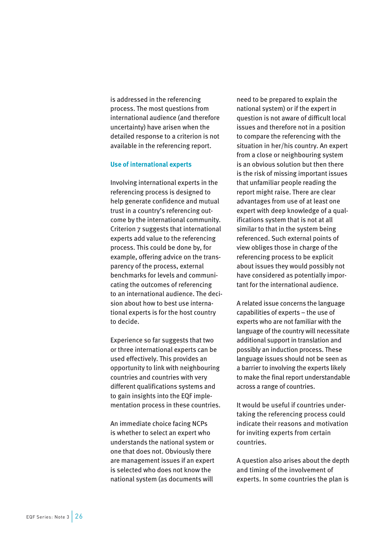<span id="page-26-0"></span>is addressed in the referencing process. The most questions from international audience (and therefore uncertainty) have arisen when the detailed response to a criterion is not available in the referencing report.

### **Use of international experts**

Involving international experts in the referencing process is designed to help generate confidence and mutual trust in a country's referencing outcome by the international community. Criterion 7 suggests that international experts add value to the referencing process. This could be done by, for example, offering advice on the transparency of the process, external benchmarks for levels and communicating the outcomes of referencing to an international audience. The decision about how to best use international experts is for the host country to decide.

Experience so far suggests that two or three international experts can be used effectively. This provides an opportunity to link with neighbouring countries and countries with very different qualifications systems and to gain insights into the EQF implementation process in these countries.

An immediate choice facing NCPs is whether to select an expert who understands the national system or one that does not. Obviously there are management issues if an expert is selected who does not know the national system (as documents will

need to be prepared to explain the national system) or if the expert in question is not aware of difficult local issues and therefore not in a position to compare the referencing with the situation in her/his country. An expert from a close or neighbouring system is an obvious solution but then there is the risk of missing important issues that unfamiliar people reading the report might raise. There are clear advantages from use of at least one expert with deep knowledge of a qualifications system that is not at all similar to that in the system being referenced. Such external points of view obliges those in charge of the referencing process to be explicit about issues they would possibly not have considered as potentially important for the international audience.

A related issue concerns the language capabilities of experts – the use of experts who are not familiar with the language of the country will necessitate additional support in translation and possibly an induction process. These language issues should not be seen as a barrier to involving the experts likely to make the final report understandable across a range of countries.

It would be useful if countries undertaking the referencing process could indicate their reasons and motivation for inviting experts from certain countries.

A question also arises about the depth and timing of the involvement of experts. In some countries the plan is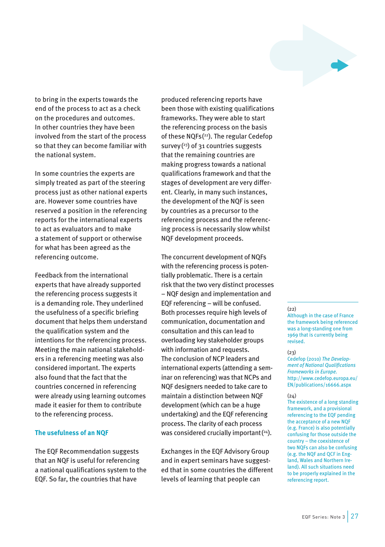

<span id="page-27-0"></span>to bring in the experts towards the end of the process to act as a check on the procedures and outcomes. In other countries they have been involved from the start of the process so that they can become familiar with the national system.

In some countries the experts are simply treated as part of the steering process just as other national experts are. However some countries have reserved a position in the referencing reports for the international experts to act as evaluators and to make a statement of support or otherwise for what has been agreed as the referencing outcome.

Feedback from the international experts that have already supported the referencing process suggests it is a demanding role. They underlined the usefulness of a specific briefing document that helps them understand the qualification system and the intentions for the referencing process. Meeting the main national stakeholders in a referencing meeting was also considered important. The experts also found that the fact that the countries concerned in referencing were already using learning outcomes made it easier for them to contribute to the referencing process.

## **The usefulness of an NQF**

The EQF Recommendation suggests that an NQF is useful for referencing a national qualifications system to the EQF. So far, the countries that have

produced referencing reports have been those with existing qualifications frameworks. They were able to start the referencing process on the basis of these NQFs( 22). The regular Cedefop survey( 23) of 31 countries suggests that the remaining countries are making progress towards a national qualifications framework and that the stages of development are very different. Clearly, in many such instances, the development of the NQF is seen by countries as a precursor to the referencing process and the referencing process is necessarily slow whilst NQF development proceeds.

The concurrent development of NQFs with the referencing process is potentially problematic. There is a certain risk that the two very distinct processes – NQF design and implementation and EQF referencing – will be confused. Both processes require high levels of communication, documentation and consultation and this can lead to overloading key stakeholder groups with information and requests. The conclusion of NCP leaders and international experts (attending a seminar on referencing) was that NCPs and NQF designers needed to take care to maintain a distinction between NQF development (which can be a huge undertaking) and the EQF referencing process. The clarity of each process was considered crucially important  $(24)$ .

Exchanges in the EQF Advisory Group and in expert seminars have suggested that in some countries the different levels of learning that people can

 $(22)$ 

Although in the case of France the framework being referenced was a long-standing one from 1969 that is currently being revised.

#### $(23)$

Cedefop (2010) *The Development of National Qualifications Frameworks in Europe.*  [http://www.cedefop.europa.eu/](http://www.cedefop.europa.eu/EN/publications/16666.aspx) [EN/publications/16666.aspx](http://www.cedefop.europa.eu/EN/publications/16666.aspx)

#### $(24)$

The existence of a long standing framework, and a provisional referencing to the EQF pending the acceptance of a new NQF (e.g. France) is also potentially confusing for those outside the country – the coexistence of two NQFs can also be confusing (e.g. the NQF and QCF in England, Wales and Northern Ireland). All such situations need to be properly explained in the referencing report.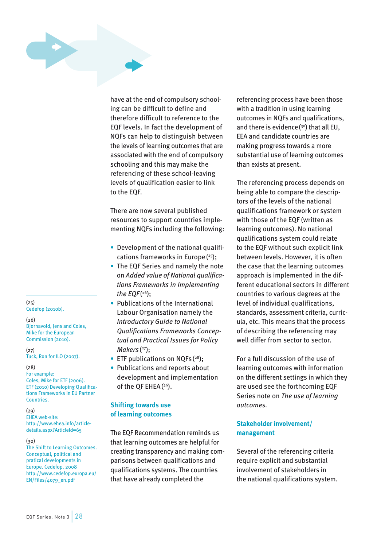<span id="page-28-0"></span>

have at the end of compulsory schooling can be difficult to define and therefore difficult to reference to the EQF levels. In fact the development of NQFs can help to distinguish between the levels of learning outcomes that are associated with the end of compulsory schooling and this may make the referencing of these school-leaving levels of qualification easier to link to the EQF.

There are now several published resources to support countries implementing NQFs including the following:

- Development of the national qualifications frameworks in Europe( 25);
- The EQF Series and namely the note on *Added value of National qualifications Frameworks in Implementing the EQF* ( 26);
- Publications of the International Labour Organisation namely the *Introductory Guide to National Qualifications Frameworks Conceptual and Practical Issues for Policy Makers* ( 27);
- ETF publications on NQFs (<sup>28</sup>);
- Publications and reports about development and implementation of the QF EHEA( 29).

## **Shifting towards use of learning outcomes**

The EQF Recommendation reminds us that learning outcomes are helpful for creating transparency and making comparisons between qualifications and qualifications systems. The countries that have already completed the

referencing process have been those with a tradition in using learning outcomes in NQFs and qualifications, and there is evidence( 30) that all EU, EEA and candidate countries are making progress towards a more substantial use of learning outcomes than exists at present.

The referencing process depends on being able to compare the descriptors of the levels of the national qualifications framework or system with those of the EQF (written as learning outcomes). No national qualifications system could relate to the EQF without such explicit link between levels. However, it is often the case that the learning outcomes approach is implemented in the different educational sectors in different countries to various degrees at the level of individual qualifications, standards, assessment criteria, curricula, etc. This means that the process of describing the referencing may well differ from sector to sector.

For a full discussion of the use of learning outcomes with information on the different settings in which they are used see the forthcoming EQF Series note on *The use of learning outcomes.*

## **Stakeholder involvement/ management**

Several of the referencing criteria require explicit and substantial involvement of stakeholders in the national qualifications system.

(25) Cedefop (2010b).

#### (26)

Bjornavold, Jens and Coles, Mike for the European Commission (2010).

 $(27)$ Tuck, Ron for ILO (2007).

## (28)

For example: Coles, Mike for ETF (2006). ETF (2010) Developing Qualifications Frameworks in EU Partner Countries.

 $(29)$ 

EHEA web-site: [http://www.ehea.info/article](http://www.ehea.info/article-details.aspx?ArticleId=65)[details.aspx?ArticleId=65](http://www.ehea.info/article-details.aspx?ArticleId=65)

#### $(30)$

The Shift to Learning Outcomes. Conceptual, political and pratical developments in Europe. Cedefop. 2008 [http://www.cedefop.europa.eu/](http://www.cedefop.europa.eu/EN/Files/4079_en.pdf) [EN/Files/4079\\_en.pdf](http://www.cedefop.europa.eu/EN/Files/4079_en.pdf)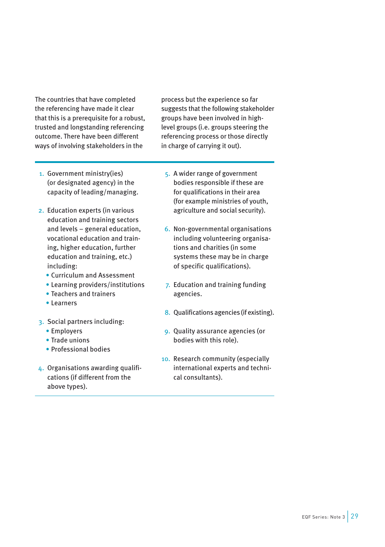<span id="page-29-0"></span>The countries that have completed the referencing have made it clear that this is a prerequisite for a robust, trusted and longstanding referencing outcome. There have been different ways of involving stakeholders in the

process but the experience so far suggests that the following stakeholder groups have been involved in highlevel groups (i.e. groups steering the referencing process or those directly in charge of carrying it out).

- 1. Government ministry(ies) (or designated agency) in the capacity of leading/managing.
- 2. Education experts (in various education and training sectors and levels – general education, vocational education and training, higher education, further education and training, etc.) including:
	- Curriculum and Assessment
	- Learning providers/institutions
	- Teachers and trainers
	- Learners
- 3. Social partners including:
	- Employers
	- Trade unions
	- Professional bodies
- 4. Organisations awarding qualifications (if different from the above types).
- 5. A wider range of government bodies responsible if these are for qualifications in their area (for example ministries of youth, agriculture and social security).
- 6. Non-governmental organisations including volunteering organisations and charities (in some systems these may be in charge of specific qualifications).
- 7. Education and training funding agencies.
- 8. Qualifications agencies (if existing).
- 9. Quality assurance agencies (or bodies with this role).
- 10. Research community (especially international experts and technical consultants).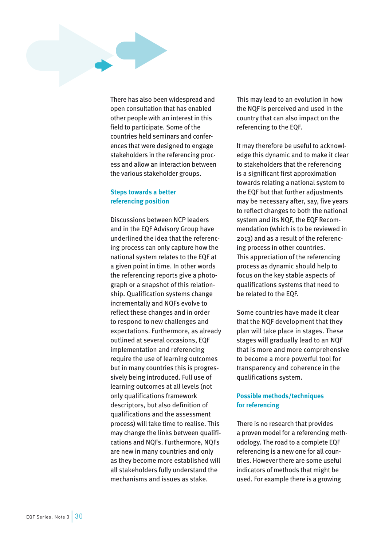<span id="page-30-0"></span>There has also been widespread and open consultation that has enabled other people with an interest in this field to participate. Some of the countries held seminars and conferences that were designed to engage stakeholders in the referencing process and allow an interaction between the various stakeholder groups.

## **Steps towards a better referencing position**

Discussions between NCP leaders and in the EQF Advisory Group have underlined the idea that the referencing process can only capture how the national system relates to the EQF at a given point in time. In other words the referencing reports give a photograph or a snapshot of this relationship. Qualification systems change incrementally and NQFs evolve to reflect these changes and in order to respond to new challenges and expectations. Furthermore, as already outlined at several occasions, EQF implementation and referencing require the use of learning outcomes but in many countries this is progressively being introduced. Full use of learning outcomes at all levels (not only qualifications framework descriptors, but also definition of qualifications and the assessment process) will take time to realise. This may change the links between qualifications and NQFs. Furthermore, NQFs are new in many countries and only as they become more established will all stakeholders fully understand the mechanisms and issues as stake.

This may lead to an evolution in how the NQF is perceived and used in the country that can also impact on the referencing to the EQF.

It may therefore be useful to acknowledge this dynamic and to make it clear to stakeholders that the referencing is a significant first approximation towards relating a national system to the EQF but that further adjustments may be necessary after, say, five years to reflect changes to both the national system and its NQF, the EQF Recommendation (which is to be reviewed in 2013) and as a result of the referencing process in other countries. This appreciation of the referencing process as dynamic should help to focus on the key stable aspects of qualifications systems that need to be related to the EQF.

Some countries have made it clear that the NQF development that they plan will take place in stages. These stages will gradually lead to an NQF that is more and more comprehensive to become a more powerful tool for transparency and coherence in the qualifications system.

## **Possible methods/techniques for referencing**

There is no research that provides a proven model for a referencing methodology. The road to a complete EQF referencing is a new one for all countries. However there are some useful indicators of methods that might be used. For example there is a growing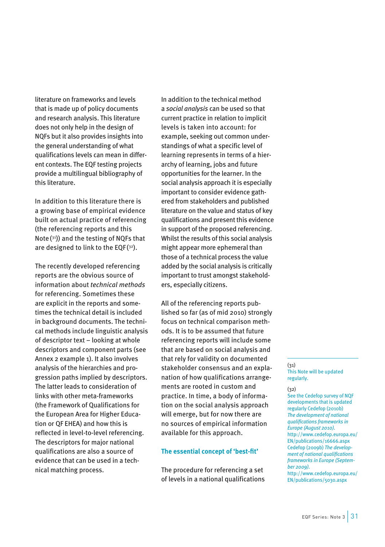<span id="page-31-0"></span>literature on frameworks and levels that is made up of policy documents and research analysis. This literature does not only help in the design of NQFs but it also provides insights into the general understanding of what qualifications levels can mean in different contexts. The EQF testing projects provide a multilingual bibliography of this literature.

In addition to this literature there is a growing base of empirical evidence built on actual practice of referencing (the referencing reports and this Note  $(31)$ ) and the testing of NQFs that are designed to link to the EQF $(3^2)$ .

The recently developed referencing reports are the obvious source of information about *technical methods*  for referencing. Sometimes these are explicit in the reports and sometimes the technical detail is included in background documents. The technical methods include linguistic analysis of descriptor text – looking at whole descriptors and component parts (see Annex 2 example 1). It also involves analysis of the hierarchies and progression paths implied by descriptors. The latter leads to consideration of links with other meta-frameworks (the Framework of Qualifications for the European Area for Higher Education or QF EHEA) and how this is reflected in level-to-level referencing. The descriptors for major national qualifications are also a source of evidence that can be used in a technical matching process.

In addition to the technical method a *social analysis* can be used so that current practice in relation to implicit levels is taken into account: for example, seeking out common understandings of what a specific level of learning represents in terms of a hierarchy of learning, jobs and future opportunities for the learner. In the social analysis approach it is especially important to consider evidence gathered from stakeholders and published literature on the value and status of key qualifications and present this evidence in support of the proposed referencing. Whilst the results of this social analysis might appear more ephemeral than those of a technical process the value added by the social analysis is critically important to trust amongst stakeholders, especially citizens.

All of the referencing reports published so far (as of mid 2010) strongly focus on technical comparison methods. It is to be assumed that future referencing reports will include some that are based on social analysis and that rely for validity on documented stakeholder consensus and an explanation of how qualifications arrangements are rooted in custom and practice. In time, a body of information on the social analysis approach will emerge, but for now there are no sources of empirical information available for this approach.

### **The essential concept of 'best-fit'**

The procedure for referencing a set of levels in a national qualifications

#### $(31)$ This Note will be updated regularly.

## (32)

See the Cedefop survey of NQF developments that is updated regularly Cedefop (2010b) *The development of national qualifications frameworks in Europe (August 2010).*  [http://www.cedefop.europa.eu/](http://www.cedefop.europa.eu/EN/publications/16666.aspx) [EN/publications/16666.aspx](http://www.cedefop.europa.eu/EN/publications/16666.aspx)  Cedefop (2009b) *The development of national qualifications frameworks in Europe (September 2009).*

[http://www.cedefop.europa.eu/](http://www.cedefop.europa.eu/EN/publications/5030.aspx) [EN/publications/5030.aspx](http://www.cedefop.europa.eu/EN/publications/5030.aspx)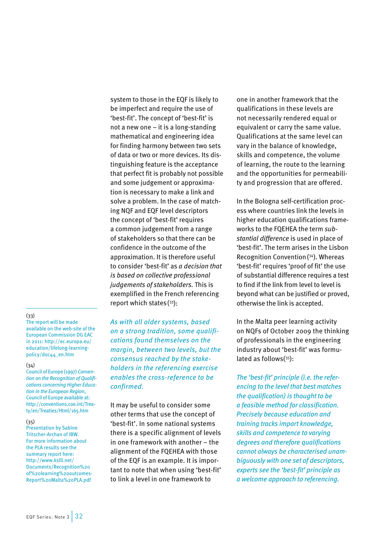system to those in the EQF is likely to be imperfect and require the use of 'best-fit'. The concept of 'best-fit' is not a new one – it is a long-standing mathematical and engineering idea for finding harmony between two sets of data or two or more devices. Its distinguishing feature is the acceptance that perfect fit is probably not possible and some judgement or approximation is necessary to make a link and solve a problem. In the case of matching NQF and EQF level descriptors the concept of 'best-fit' requires a common judgement from a range of stakeholders so that there can be confidence in the outcome of the approximation. It is therefore useful to consider 'best-fit' as *a decision that is based on collective professional judgements of stakeholders.* This is exemplified in the French referencing report which states( 33):

*As with all older systems, based on a strong tradition, some qualifications found themselves on the margin, between two levels, but the consensus reached by the stakeholders in the referencing exercise enables the cross-reference to be confirmed.*

It may be useful to consider some other terms that use the concept of 'best-fit'. In some national systems there is a specific alignment of levels in one framework with another – the alignment of the FQEHEA with those of the EQF is an example. It is important to note that when using 'best-fit' to link a level in one framework to

one in another framework that the qualifications in these levels are not necessarily rendered equal or equivalent or carry the same value. Qualifications at the same level can vary in the balance of knowledge, skills and competence, the volume of learning, the route to the learning and the opportunities for permeability and progression that are offered.

In the Bologna self-certification process where countries link the levels in higher education qualifications frameworks to the FQEHEA the term *substantial difference* is used in place of 'best-fit'. The term arises in the Lisbon Recognition Convention( 34). Whereas 'best-fit' requires 'proof of fit' the use of substantial difference requires a test to find if the link from level to level is beyond what can be justified or proved, otherwise the link is accepted.

In the Malta peer learning activity on NQFs of October 2009 the thinking of professionals in the engineering industry about 'best-fit' was formulated as follows(35):

*The 'best-fit' principle (i.e. the referencing to the level that best matches the qualification) is thought to be a feasible method for classification. Precisely because education and training tracks impart knowledge, skills and competence to varying degrees and therefore qualifications cannot always be characterised unambiguously with one set of descriptors, experts see the 'best-fit' principle as a welcome approach to referencing.*

#### (33)

The report will be made available on the web-site of the European Commission DG EAC in 2011: [http://ec.europa.eu/](http://ec.europa.eu/education/lifelong-learning-policy/doc44_en.htm) [education/lifelong-learning](http://ec.europa.eu/education/lifelong-learning-policy/doc44_en.htm)[policy/doc44\\_en.htm](http://ec.europa.eu/education/lifelong-learning-policy/doc44_en.htm)

#### (34)

Council of Europe (1997) *Convention on the Recognition of Qualifications concerning Higher Education in the European Region*, Council of Europe available at: [http://conventions.coe.int/Trea](http://conventions.coe.int/Treaty/en/Treaties/Html/165.htm)[ty/en/Treaties/Html/165.htm](http://conventions.coe.int/Treaty/en/Treaties/Html/165.htm)

#### (35)

Presentation by Sabine Tritscher-Archan of IBW. For more information about the PLA results see the summary report here: [http://www.kslll.net/](http://www.kslll.net/Documents/Recognition%20of%20learning%20outcomes-Report%20Malta%20PLA.pdf) [Documents/Recognition%20](http://www.kslll.net/Documents/Recognition%20of%20learning%20outcomes-Report%20Malta%20PLA.pdf) [of%20learning%20outcomes-](http://www.kslll.net/Documents/Recognition%20of%20learning%20outcomes-Report%20Malta%20PLA.pdf)[Report%20Malta%20PLA.pdf](http://www.kslll.net/Documents/Recognition%20of%20learning%20outcomes-Report%20Malta%20PLA.pdf)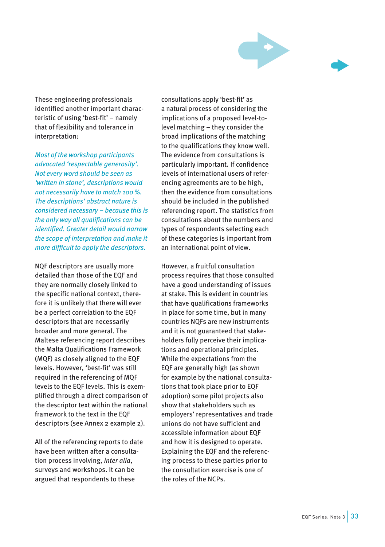

These engineering professionals identified another important characteristic of using 'best-fit' – namely that of flexibility and tolerance in interpretation:

*Most of the workshop participants advocated 'respectable generosity'. Not every word should be seen as 'written in stone', descriptions would not necessarily have to match 100%. The descriptions' abstract nature is considered necessary – because this is the only way all qualifications can be identified. Greater detail would narrow the scope of interpretation and make it more difficult to apply the descriptors.*

NQF descriptors are usually more detailed than those of the EQF and they are normally closely linked to the specific national context, therefore it is unlikely that there will ever be a perfect correlation to the EQF descriptors that are necessarily broader and more general. The Maltese referencing report describes the Malta Qualifications Framework (MQF) as closely aligned to the EQF levels. However, 'best-fit' was still required in the referencing of MQF levels to the EQF levels. This is exemplified through a direct comparison of the descriptor text within the national framework to the text in the EQF descriptors (see Annex 2 example 2).

All of the referencing reports to date have been written after a consultation process involving, *inter alia*, surveys and workshops. It can be argued that respondents to these

consultations apply 'best-fit' as a natural process of considering the implications of a proposed level-tolevel matching – they consider the broad implications of the matching to the qualifications they know well. The evidence from consultations is particularly important. If confidence levels of international users of referencing agreements are to be high, then the evidence from consultations should be included in the published referencing report. The statistics from consultations about the numbers and types of respondents selecting each of these categories is important from an international point of view.

However, a fruitful consultation process requires that those consulted have a good understanding of issues at stake. This is evident in countries that have qualifications frameworks in place for some time, but in many countries NQFs are new instruments and it is not guaranteed that stakeholders fully perceive their implications and operational principles. While the expectations from the EQF are generally high (as shown for example by the national consultations that took place prior to EQF adoption) some pilot projects also show that stakeholders such as employers' representatives and trade unions do not have sufficient and accessible information about EQF and how it is designed to operate. Explaining the EQF and the referencing process to these parties prior to the consultation exercise is one of the roles of the NCPs.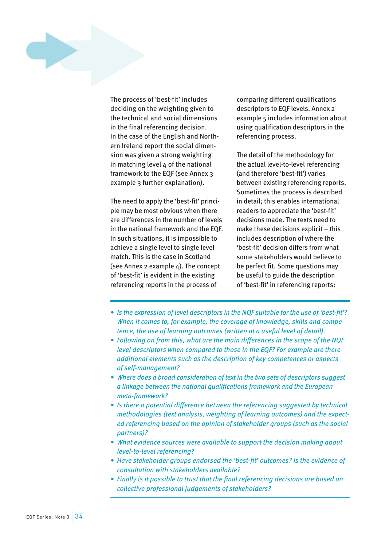

The process of 'best-fit' includes deciding on the weighting given to the technical and social dimensions in the final referencing decision. In the case of the English and Northern Ireland report the social dimension was given a strong weighting in matching level 4 of the national framework to the EQF (see Annex 3 example 3 further explanation).

The need to apply the 'best-fit' principle may be most obvious when there are differences in the number of levels in the national framework and the EQF. In such situations, it is impossible to achieve a single level to single level match. This is the case in Scotland (see Annex 2 example  $4$ ). The concept of 'best-fit' is evident in the existing referencing reports in the process of

comparing different qualifications descriptors to EQF levels. Annex 2 example 5 includes information about using qualification descriptors in the referencing process.

The detail of the methodology for the actual level-to-level referencing (and therefore 'best-fit') varies between existing referencing reports. Sometimes the process is described in detail; this enables international readers to appreciate the 'best-fit' decisions made. The texts need to make these decisions explicit – this includes description of where the 'best-fit' decision differs from what some stakeholders would believe to be perfect fit. Some questions may be useful to guide the description of 'best-fit' in referencing reports:

- *• Is the expression of level descriptors in the NQF suitable for the use of 'best-fit'? When it comes to, for example, the coverage of knowledge, skills and competence, the use of learning outcomes (written at a useful level of detail).*
- *• Following on from this, what are the main differences in the scope of the NQF level descriptors when compared to those in the EQF? For example are there additional elements such as the description of key competences or aspects of self-management?*
- *• Where does a broad consideration of text in the two sets of descriptors suggest a linkage between the national qualifications framework and the European meta-framework?*
- *• Is there a potential difference between the referencing suggested by technical methodologies (text analysis, weighting of learning outcomes) and the expected referencing based on the opinion of stakeholder groups (such as the social partners)?*
- *• What evidence sources were available to support the decision making about level-to-level referencing?*
- *• Have stakeholder groups endorsed the 'best-fit' outcomes? Is the evidence of consultation with stakeholders available?*
- *• Finally is it possible to trust that the final referencing decisions are based on collective professional judgements of stakeholders?*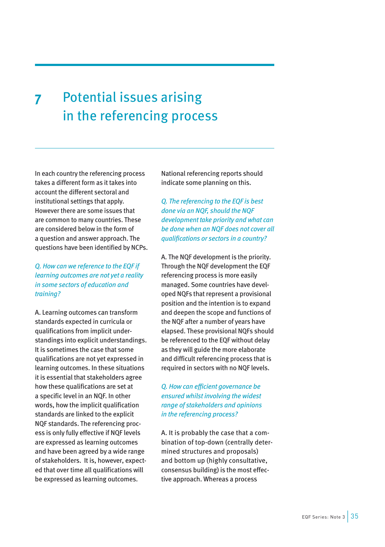## <span id="page-35-0"></span>**7** Potential issues arising in the referencing process

In each country the referencing process takes a different form as it takes into account the different sectoral and institutional settings that apply. However there are some issues that are common to many countries. These are considered below in the form of a question and answer approach. The questions have been identified by NCPs.

## *Q. How can we reference to the EQF if learning outcomes are not yet a reality in some sectors of education and training?*

A. Learning outcomes can transform standards expected in curricula or qualifications from implicit understandings into explicit understandings. It is sometimes the case that some qualifications are not yet expressed in learning outcomes. In these situations it is essential that stakeholders agree how these qualifications are set at a specific level in an NQF. In other words, how the implicit qualification standards are linked to the explicit NQF standards. The referencing process is only fully effective if NQF levels are expressed as learning outcomes and have been agreed by a wide range of stakeholders. It is, however, expected that over time all qualifications will be expressed as learning outcomes.

National referencing reports should indicate some planning on this.

*Q. The referencing to the EQF is best done via an NQF, should the NQF development take priority and what can be done when an NQF does not cover all qualifications or sectors in a country?*

A. The NQF development is the priority. Through the NQF development the EQF referencing process is more easily managed. Some countries have developed NQFs that represent a provisional position and the intention is to expand and deepen the scope and functions of the NQF after a number of years have elapsed. These provisional NQFs should be referenced to the EQF without delay as they will guide the more elaborate and difficult referencing process that is required in sectors with no NQF levels.

*Q. How can efficient governance be ensured whilst involving the widest range of stakeholders and opinions in the referencing process?*

A. It is probably the case that a combination of top-down (centrally determined structures and proposals) and bottom up (highly consultative, consensus building) is the most effective approach. Whereas a process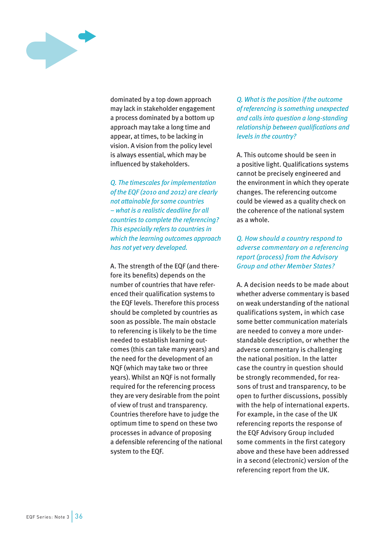

dominated by a top down approach may lack in stakeholder engagement a process dominated by a bottom up approach may take a long time and appear, at times, to be lacking in vision. A vision from the policy level is always essential, which may be influenced by stakeholders.

*Q. The timescales for implementation of the EQF (2010 and 2012) are clearly not attainable for some countries – what is a realistic deadline for all countries to complete the referencing? This especially refers to countries in which the learning outcomes approach has not yet very developed.*

A. The strength of the EQF (and therefore its benefits) depends on the number of countries that have referenced their qualification systems to the EQF levels. Therefore this process should be completed by countries as soon as possible. The main obstacle to referencing is likely to be the time needed to establish learning outcomes (this can take many years) and the need for the development of an NQF (which may take two or three years). Whilst an NQF is not formally required for the referencing process they are very desirable from the point of view of trust and transparency. Countries therefore have to judge the optimum time to spend on these two processes in advance of proposing a defensible referencing of the national system to the EQF.

*Q. What is the position if the outcome of referencing is something unexpected and calls into question a long-standing relationship between qualifications and levels in the country?*

A. This outcome should be seen in a positive light. Qualifications systems cannot be precisely engineered and the environment in which they operate changes. The referencing outcome could be viewed as a quality check on the coherence of the national system as a whole.

*Q. How should a country respond to adverse commentary on a referencing report (process) from the Advisory Group and other Member States?*

A. A decision needs to be made about whether adverse commentary is based on weak understanding of the national qualifications system, in which case some better communication materials are needed to convey a more understandable description, or whether the adverse commentary is challenging the national position. In the latter case the country in question should be strongly recommended, for reasons of trust and transparency, to be open to further discussions, possibly with the help of international experts. For example, in the case of the UK referencing reports the response of the EQF Advisory Group included some comments in the first category above and these have been addressed in a second (electronic) version of the referencing report from the UK.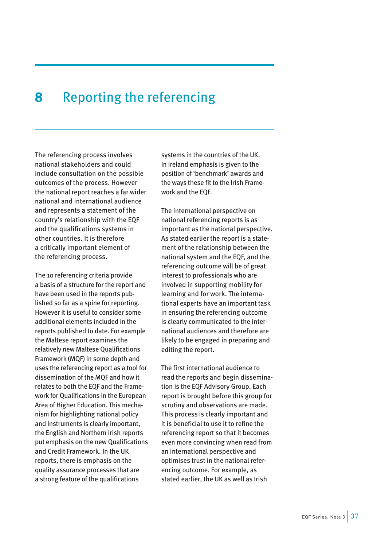## <span id="page-37-0"></span>**8** Reporting the referencing

The referencing process involves national stakeholders and could include consultation on the possible outcomes of the process. However the national report reaches a far wider national and international audience and represents a statement of the country's relationship with the EQF and the qualifications systems in other countries. It is therefore a critically important element of the referencing process.

The 10 referencing criteria provide a basis of a structure for the report and have been used in the reports published so far as a spine for reporting. However it is useful to consider some additional elements included in the reports published to date. For example the Maltese report examines the relatively new Maltese Qualifications Framework (MQF) in some depth and uses the referencing report as a tool for dissemination of the MQF and how it relates to both the EQF and the Framework for Qualifications in the European Area of Higher Education. This mechanism for highlighting national policy and instruments is clearly important, the English and Northern Irish reports put emphasis on the new Qualifications and Credit Framework. In the UK reports, there is emphasis on the quality assurance processes that are a strong feature of the qualifications

systems in the countries of the UK. In Ireland emphasis is given to the position of 'benchmark' awards and the ways these fit to the Irish Framework and the EQF.

The international perspective on national referencing reports is as important as the national perspective. As stated earlier the report is a statement of the relationship between the national system and the EQF, and the referencing outcome will be of great interest to professionals who are involved in supporting mobility for learning and for work. The international experts have an important task in ensuring the referencing outcome is clearly communicated to the international audiences and therefore are likely to be engaged in preparing and editing the report.

The first international audience to read the reports and begin dissemination is the EQF Advisory Group. Each report is brought before this group for scrutiny and observations are made. This process is clearly important and it is beneficial to use it to refine the referencing report so that it becomes even more convincing when read from an international perspective and optimises trust in the national referencing outcome. For example, as stated earlier, the UK as well as Irish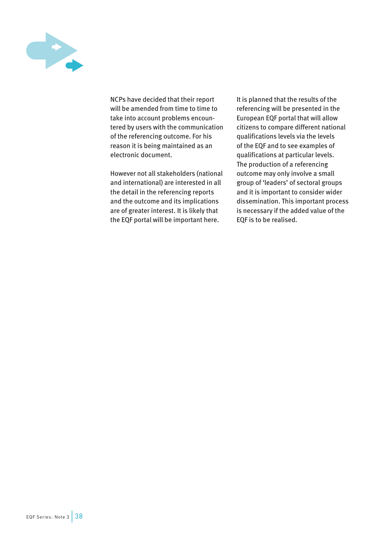

NCPs have decided that their report will be amended from time to time to take into account problems encountered by users with the communication of the referencing outcome. For his reason it is being maintained as an electronic document.

However not all stakeholders (national and international) are interested in all the detail in the referencing reports and the outcome and its implications are of greater interest. It is likely that the EQF portal will be important here.

It is planned that the results of the referencing will be presented in the European EQF portal that will allow citizens to compare different national qualifications levels via the levels of the EQF and to see examples of qualifications at particular levels. The production of a referencing outcome may only involve a small group of 'leaders' of sectoral groups and it is important to consider wider dissemination. This important process is necessary if the added value of the EQF is to be realised.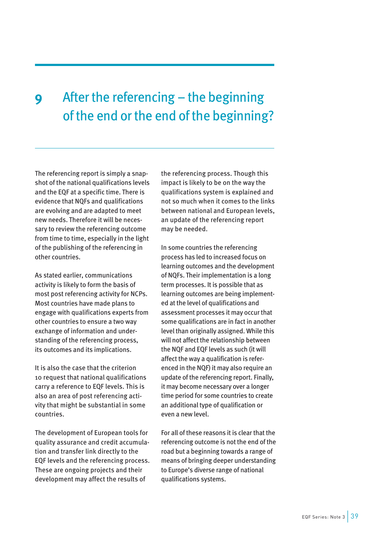## <span id="page-39-0"></span>**9** After the referencing – the beginning of the end or the end of the beginning?

The referencing report is simply a snapshot of the national qualifications levels and the EQF at a specific time. There is evidence that NQFs and qualifications are evolving and are adapted to meet new needs. Therefore it will be necessary to review the referencing outcome from time to time, especially in the light of the publishing of the referencing in other countries.

As stated earlier, communications activity is likely to form the basis of most post referencing activity for NCPs. Most countries have made plans to engage with qualifications experts from other countries to ensure a two way exchange of information and understanding of the referencing process, its outcomes and its implications.

It is also the case that the criterion 10 request that national qualifications carry a reference to EQF levels. This is also an area of post referencing activity that might be substantial in some countries.

The development of European tools for quality assurance and credit accumulation and transfer link directly to the EQF levels and the referencing process. These are ongoing projects and their development may affect the results of

the referencing process. Though this impact is likely to be on the way the qualifications system is explained and not so much when it comes to the links between national and European levels, an update of the referencing report may be needed.

In some countries the referencing process has led to increased focus on learning outcomes and the development of NQFs. Their implementation is a long term processes. It is possible that as learning outcomes are being implemented at the level of qualifications and assessment processes it may occur that some qualifications are in fact in another level than originally assigned. While this will not affect the relationship between the NQF and EQF levels as such (it will affect the way a qualification is referenced in the NQF) it may also require an update of the referencing report. Finally, it may become necessary over a longer time period for some countries to create an additional type of qualification or even a new level.

For all of these reasons it is clear that the referencing outcome is not the end of the road but a beginning towards a range of means of bringing deeper understanding to Europe's diverse range of national qualifications systems.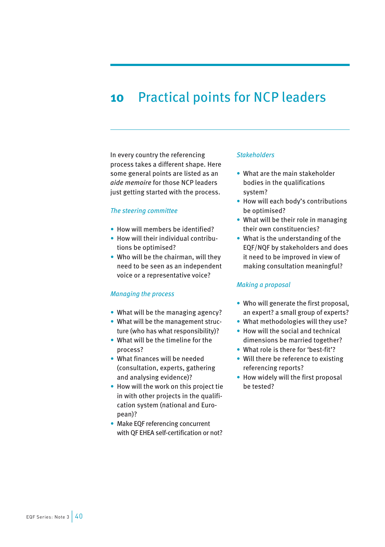## <span id="page-40-0"></span>**10** Practical points for NCP leaders

In every country the referencing process takes a different shape. Here some general points are listed as an *aide memoire* for those NCP leaders just getting started with the process.

### *The steering committee*

- How will members be identified?
- How will their individual contributions be optimised?
- Who will be the chairman, will they need to be seen as an independent voice or a representative voice?

## *Managing the process*

- What will be the managing agency?
- What will be the management structure (who has what responsibility)?
- What will be the timeline for the process?
- What finances will be needed (consultation, experts, gathering and analysing evidence)?
- How will the work on this project tie in with other projects in the qualification system (national and European)?
- Make EQF referencing concurrent with QF EHEA self-certification or not?

#### *Stakeholders*

- What are the main stakeholder bodies in the qualifications system?
- How will each body's contributions be optimised?
- What will be their role in managing their own constituencies?
- What is the understanding of the EQF/NQF by stakeholders and does it need to be improved in view of making consultation meaningful?

## *Making a proposal*

- Who will generate the first proposal, an expert? a small group of experts?
- What methodologies will they use?
- How will the social and technical dimensions be married together?
- What role is there for 'best-fit'?
- Will there be reference to existing referencing reports?
- How widely will the first proposal be tested?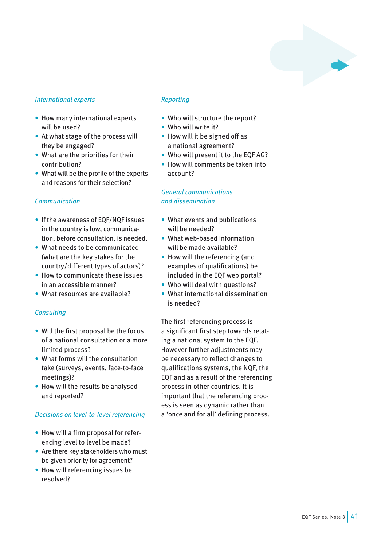

## *International experts*

- How many international experts will be used?
- At what stage of the process will they be engaged?
- What are the priorities for their contribution?
- What will be the profile of the experts and reasons for their selection?

## *Communication*

- If the awareness of EQF/NQF issues in the country is low, communication, before consultation, is needed.
- What needs to be communicated (what are the key stakes for the country/different types of actors)?
- How to communicate these issues in an accessible manner?
- What resources are available?

## *Consulting*

- Will the first proposal be the focus of a national consultation or a more limited process?
- What forms will the consultation take (surveys, events, face-to-face meetings)?
- How will the results be analysed and reported?

## *Decisions on level-to-level referencing*

- How will a firm proposal for referencing level to level be made?
- Are there key stakeholders who must be given priority for agreement?
- How will referencing issues be resolved?

## *Reporting*

- Who will structure the report?
- Who will write it?
- How will it be signed off as a national agreement?
- Who will present it to the EQF AG?
- How will comments be taken into account?

## *General communications and dissemination*

- What events and publications will be needed?
- What web-based information will be made available?
- How will the referencing (and examples of qualifications) be included in the EQF web portal?
- Who will deal with questions?
- What international dissemination is needed?

The first referencing process is a significant first step towards relating a national system to the EQF. However further adjustments may be necessary to reflect changes to qualifications systems, the NQF, the EQF and as a result of the referencing process in other countries. It is important that the referencing process is seen as dynamic rather than a 'once and for all' defining process.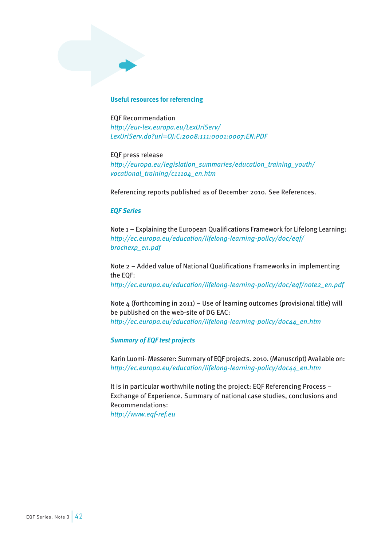### <span id="page-42-0"></span>**Useful resources for referencing**

EQF Recommendation *[http://eur-lex.europa.eu/LexUriServ/](http://eur-lex.europa.eu/LexUriServ/LexUriServ.do?uri=OJ:C:2008:111:0001:0007:EN:PDF) [LexUriServ.do?uri=OJ:C:2008:111:0001:0007:EN:PDF](http://eur-lex.europa.eu/LexUriServ/LexUriServ.do?uri=OJ:C:2008:111:0001:0007:EN:PDF)* 

EQF press release *[http://europa.eu/legislation\\_summaries/education\\_training\\_youth/](http://europa.eu/legislation_summaries/education_training_youth/vocational_training/c11104_en.htm) [vocational\\_training/c11104\\_en.htm](http://europa.eu/legislation_summaries/education_training_youth/vocational_training/c11104_en.htm)* 

Referencing reports published as of December 2010. See References.

### *EQF Series*

Note 1 – Explaining the European Qualifications Framework for Lifelong Learning: *[http://ec.europa.eu/education/lifelong-learning-policy/doc/eqf/](http://ec.europa.eu/education/lifelong-learning-policy/doc/eqf/brochexp_en.pdf) [brochexp\\_en.pdf](http://ec.europa.eu/education/lifelong-learning-policy/doc/eqf/brochexp_en.pdf)* 

Note 2 – Added value of National Qualifications Frameworks in implementing the EQF: *[http://ec.europa.eu/education/lifelong-learning-policy/doc/eqf/note2\\_en.pdf](http://ec.europa.eu/education/lifelong-learning-policy/doc/eqf/note2_en.pdf)* 

Note 4 (forthcoming in 2011) – Use of learning outcomes (provisional title) will be published on the web-site of DG EAC: *[http://ec.europa.eu/education/lifelong-learning-policy/doc44\\_en.htm](http://ec.europa.eu/education/lifelong-learning-policy/doc44_en.htm)* 

## *Summary of EQF test projects*

Karin Luomi- Messerer: Summary of EQF projects. 2010. (Manuscript) Available on: *[http://ec.europa.eu/education/lifelong-learning-policy/doc44\\_en.htm](http://ec.europa.eu/education/lifelong-learning-policy/doc44_en.htm)* 

It is in particular worthwhile noting the project: EQF Referencing Process – Exchange of Experience. Summary of national case studies, conclusions and Recommendations: *<http://www.eqf-ref.eu>*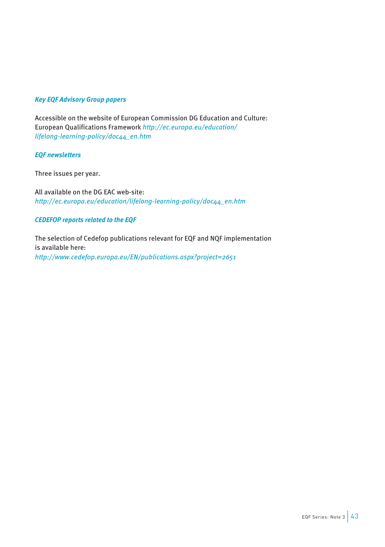## *Key EQF Advisory Group papers*

Accessible on the website of European Commission DG Education and Culture: European Qualifications Framework *[http://ec.europa.eu/education/](http://ec.europa.eu/education/lifelong-learning-policy/doc44_en.htm) [lifelong-learning-policy/doc44\\_en.htm](http://ec.europa.eu/education/lifelong-learning-policy/doc44_en.htm)*

## *EQF newsletters*

Three issues per year.

All available on the DG EAC web-site: *[http://ec.europa.eu/education/lifelong-learning-policy/doc44\\_en.htm](http://ec.europa.eu/education/lifelong-learning-policy/doc44_en.htm)* 

## *CEDEFOP reports related to the EQF*

The selection of Cedefop publications relevant for EQF and NQF implementation is available here: *<http://www.cedefop.europa.eu/EN/publications.aspx?project=2651>*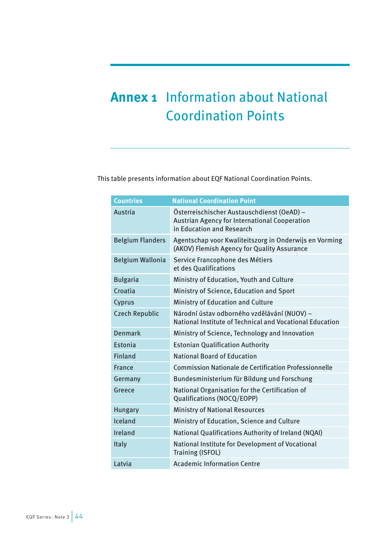## <span id="page-44-0"></span>**Annex 1** Information about National **Coordination Points**

This table presents information about EQF National Coordination Points.

| <b>Countries</b>        | <b>National Coordination Point</b>                                                                                              |
|-------------------------|---------------------------------------------------------------------------------------------------------------------------------|
| Austria                 | Österreischischer Austauschdienst (OeAD) -<br><b>Austrian Agency for International Cooperation</b><br>in Education and Research |
| <b>Belgium Flanders</b> | Agentschap voor Kwaliteitszorg in Onderwijs en Vorming<br>(AKOV) Flemish Agency for Quality Assurance                           |
| Belgium Wallonia        | Service Francophone des Métiers<br>et des Qualifications                                                                        |
| <b>Bulgaria</b>         | Ministry of Education, Youth and Culture                                                                                        |
| Croatia                 | Ministry of Science, Education and Sport                                                                                        |
| Cyprus                  | Ministry of Education and Culture                                                                                               |
| <b>Czech Republic</b>   | Národní ústav odborného vzdělávání (NUOV) -<br>National Institute of Technical and Vocational Education                         |
| <b>Denmark</b>          | Ministry of Science, Technology and Innovation                                                                                  |
| Estonia                 | <b>Estonian Qualification Authority</b>                                                                                         |
| <b>Finland</b>          | <b>National Board of Education</b>                                                                                              |
| <b>France</b>           | <b>Commission Nationale de Certification Professionnelle</b>                                                                    |
| Germany                 | Bundesministerium für Bildung und Forschung                                                                                     |
| Greece                  | National Organisation for the Certification of<br>Qualifications (NOCQ/EOPP)                                                    |
| <b>Hungary</b>          | <b>Ministry of National Resources</b>                                                                                           |
| Iceland                 | Ministry of Education, Science and Culture                                                                                      |
| Ireland                 | National Qualifications Authority of Ireland (NQAI)                                                                             |
| <b>Italy</b>            | National Institute for Development of Vocational<br><b>Training (ISFOL)</b>                                                     |
| Latvia                  | <b>Academic Information Centre</b>                                                                                              |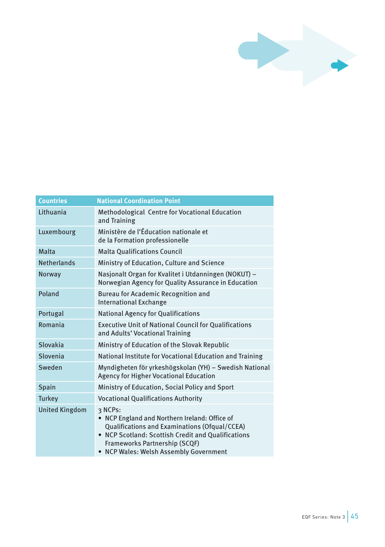

| <b>Countries</b>      | <b>National Coordination Point</b>                                                                                                                                                                                                       |  |
|-----------------------|------------------------------------------------------------------------------------------------------------------------------------------------------------------------------------------------------------------------------------------|--|
| Lithuania             | Methodological Centre for Vocational Education<br>and Training                                                                                                                                                                           |  |
| Luxembourg            | Ministère de l'Éducation nationale et<br>de la Formation professionelle                                                                                                                                                                  |  |
| Malta                 | <b>Malta Qualifications Council</b>                                                                                                                                                                                                      |  |
| <b>Netherlands</b>    | Ministry of Education, Culture and Science                                                                                                                                                                                               |  |
| Norway                | Nasjonalt Organ for Kvalitet i Utdanningen (NOKUT) -<br>Norwegian Agency for Quality Assurance in Education                                                                                                                              |  |
| Poland                | <b>Bureau for Academic Recognition and</b><br><b>International Exchange</b>                                                                                                                                                              |  |
| Portugal              | <b>National Agency for Qualifications</b>                                                                                                                                                                                                |  |
| Romania               | <b>Executive Unit of National Council for Qualifications</b><br>and Adults' Vocational Training                                                                                                                                          |  |
| Slovakia              | Ministry of Education of the Slovak Republic                                                                                                                                                                                             |  |
| Slovenia              | National Institute for Vocational Education and Training                                                                                                                                                                                 |  |
| Sweden                | Myndigheten för yrkeshögskolan (YH) - Swedish National<br><b>Agency for Higher Vocational Education</b>                                                                                                                                  |  |
| Spain                 | Ministry of Education, Social Policy and Sport                                                                                                                                                                                           |  |
| <b>Turkey</b>         | <b>Vocational Qualifications Authority</b>                                                                                                                                                                                               |  |
| <b>United Kingdom</b> | २ NCPs:<br>NCP England and Northern Ireland: Office of<br>Qualifications and Examinations (Ofqual/CCEA)<br>• NCP Scotland: Scottish Credit and Qualifications<br>Frameworks Partnership (SCQF)<br>• NCP Wales: Welsh Assembly Government |  |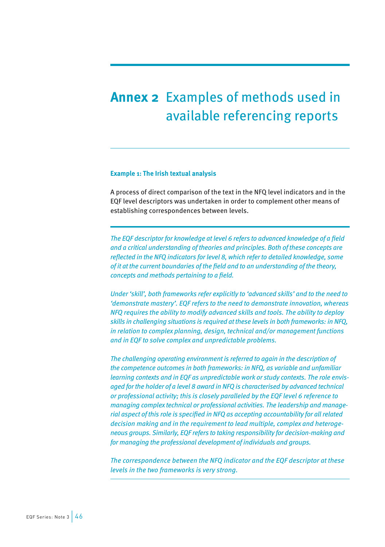## <span id="page-46-0"></span>**Annex 2** Examples of methods used in available referencing reports

### **Example 1: The Irish textual analysis**

A process of direct comparison of the text in the NFQ level indicators and in the EQF level descriptors was undertaken in order to complement other means of establishing correspondences between levels.

*The EQF descriptor for knowledge at level 6 refers to advanced knowledge of a field and a critical understanding of theories and principles. Both of these concepts are reflected in the NFQ indicators for level 8, which refer to detailed knowledge, some of it at the current boundaries of the field and to an understanding of the theory, concepts and methods pertaining to a field.* 

*Under 'skill', both frameworks refer explicitly to 'advanced skills' and to the need to 'demonstrate mastery'. EQF refers to the need to demonstrate innovation, whereas NFQ requires the ability to modify advanced skills and tools. The ability to deploy skills in challenging situations is required at these levels in both frameworks: in NFQ, in relation to complex planning, design, technical and/or management functions and in EQF to solve complex and unpredictable problems.* 

*The challenging operating environment is referred to again in the description of the competence outcomes in both frameworks: in NFQ, as variable and unfamiliar learning contexts and in EQF as unpredictable work or study contexts. The role envisaged for the holder of a level 8 award in NFQ is characterised by advanced technical or professional activity; this is closely paralleled by the EQF level 6 reference to managing complex technical or professional activities. The leadership and managerial aspect of this role is specified in NFQ as accepting accountability for all related decision making and in the requirement to lead multiple, complex and heterogeneous groups. Similarly, EQF refers to taking responsibility for decision-making and for managing the professional development of individuals and groups.* 

*The correspondence between the NFQ indicator and the EQF descriptor at these levels in the two frameworks is very strong.*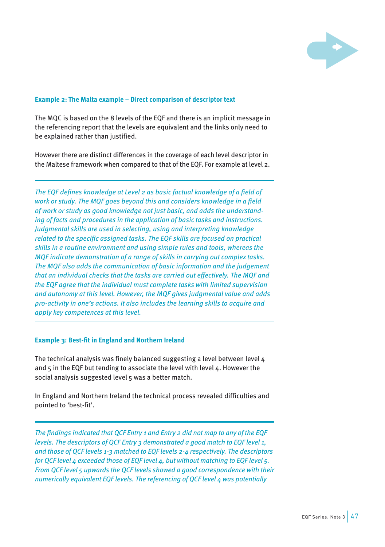

## <span id="page-47-0"></span>**Example 2: The Malta example – Direct comparison of descriptor text**

The MQC is based on the 8 levels of the EQF and there is an implicit message in the referencing report that the levels are equivalent and the links only need to be explained rather than justified.

However there are distinct differences in the coverage of each level descriptor in the Maltese framework when compared to that of the EQF. For example at level 2.

*The EQF defines knowledge at Level 2 as basic factual knowledge of a field of work or study. The MQF goes beyond this and considers knowledge in a field of work or study as good knowledge not just basic, and adds the understanding of facts and procedures in the application of basic tasks and instructions. Judgmental skills are used in selecting, using and interpreting knowledge related to the specific assigned tasks. The EQF skills are focused on practical skills in a routine environment and using simple rules and tools, whereas the MQF indicate demonstration of a range of skills in carrying out complex tasks. The MQF also adds the communication of basic information and the judgement that an individual checks that the tasks are carried out effectively. The MQF and the EQF agree that the individual must complete tasks with limited supervision and autonomy at this level. However, the MQF gives judgmental value and adds pro-activity in one's actions. It also includes the learning skills to acquire and apply key competences at this level.*

## **Example 3: Best-fit in England and Northern Ireland**

The technical analysis was finely balanced suggesting a level between level 4 and 5 in the EQF but tending to associate the level with level 4. However the social analysis suggested level 5 was a better match.

In England and Northern Ireland the technical process revealed difficulties and pointed to 'best-fit'.

*The findings indicated that QCF Entry 1 and Entry 2 did not map to any of the EQF levels. The descriptors of QCF Entry 3 demonstrated a good match to EQF level 1, and those of QCF levels 1-3 matched to EQF levels 2-4 respectively. The descriptors for QCF level 4 exceeded those of EQF level 4, but without matching to EQF level 5. From QCF level 5 upwards the QCF levels showed a good correspondence with their numerically equivalent EQF levels. The referencing of QCF level 4 was potentially*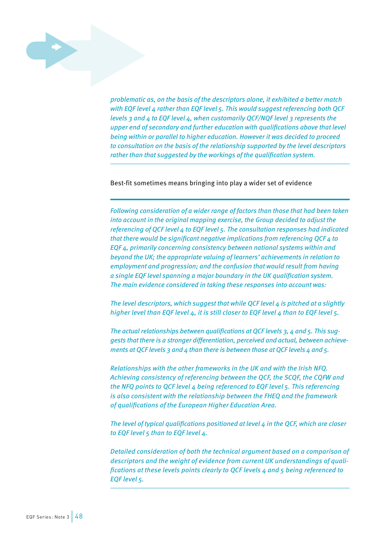

*problematic as, on the basis of the descriptors alone, it exhibited a better match with EQF level 4 rather than EQF level 5. This would suggest referencing both QCF levels 3 and 4 to EQF level 4, when customarily QCF/NQF level 3 represents the upper end of secondary and further education with qualifications above that level being within or parallel to higher education. However it was decided to proceed to consultation on the basis of the relationship supported by the level descriptors rather than that suggested by the workings of the qualification system.*

Best-fit sometimes means bringing into play a wider set of evidence

*Following consideration of a wider range of factors than those that had been taken into account in the original mapping exercise, the Group decided to adjust the referencing of QCF level 4 to EQF level 5. The consultation responses had indicated that there would be significant negative implications from referencing QCF 4 to EQF 4, primarily concerning consistency between national systems within and beyond the UK; the appropriate valuing of learners' achievements in relation to employment and progression; and the confusion that would result from having a single EQF level spanning a major boundary in the UK qualification system. The main evidence considered in taking these responses into account was:*

*The level descriptors, which suggest that while QCF level 4 is pitched at a slightly higher level than EQF level 4, it is still closer to EQF level 4 than to EQF level 5.* 

*The actual relationships between qualifications at QCF levels 3, 4 and 5. This suggests that there is a stronger differentiation, perceived and actual, between achievements at QCF levels 3 and 4 than there is between those at QCF levels 4 and 5.* 

*Relationships with the other frameworks in the UK and with the Irish NFQ. Achieving consistency of referencing between the QCF, the SCQF, the CQFW and the NFQ points to QCF level 4 being referenced to EQF level 5. This referencing is also consistent with the relationship between the FHEQ and the framework of qualifications of the European Higher Education Area.* 

*The level of typical qualifications positioned at level 4 in the QCF, which are closer to EQF level 5 than to EQF level 4.* 

*Detailed consideration of both the technical argument based on a comparison of descriptors and the weight of evidence from current UK understandings of qualifications at these levels points clearly to QCF levels 4 and 5 being referenced to EQF level 5.*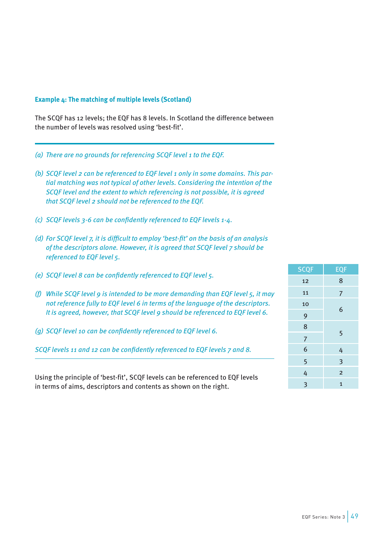## <span id="page-49-0"></span>**Example 4: The matching of multiple levels (Scotland)**

The SCQF has 12 levels; the EQF has 8 levels. In Scotland the difference between the number of levels was resolved using 'best-fit'.

- *(a) There are no grounds for referencing SCQF level 1 to the EQF.*
- *(b) SCQF level 2 can be referenced to EQF level 1 only in some domains. This partial matching was not typical of other levels. Considering the intention of the SCQF level and the extent to which referencing is not possible, it is agreed that SCQF level 2 should not be referenced to the EQF.*
- *(c) SCQF levels 3-6 can be confidently referenced to EQF levels 1-4.*
- *(d) For SCQF level 7, it is difficult to employ 'best-fit' on the basis of an analysis of the descriptors alone. However, it is agreed that SCQF level 7 should be referenced to EQF level 5.*
- *(e) SCQF level 8 can be confidently referenced to EQF level 5.*
- *(f) While SCQF level 9 is intended to be more demanding than EQF level 5, it may not reference fully to EQF level 6 in terms of the language of the descriptors. It is agreed, however, that SCQF level 9 should be referenced to EQF level 6.*
- *(g) SCQF level 10 can be confidently referenced to EQF level 6.*

*SCQF levels 11 and 12 can be confidently referenced to EQF levels 7 and 8.*

Using the principle of 'best-fit', SCQF levels can be referenced to EQF levels in terms of aims, descriptors and contents as shown on the right.

| <b>SCQF</b>    | <b>EQF</b>     |
|----------------|----------------|
| 12             | 8              |
| 11             | $\overline{7}$ |
| 10             | 6              |
| 9              |                |
| 8              |                |
| $\overline{7}$ | 5              |
| 6              | 4              |
| 5              | 3              |
| 4              | $\overline{2}$ |
| 3              | $\mathbf{1}$   |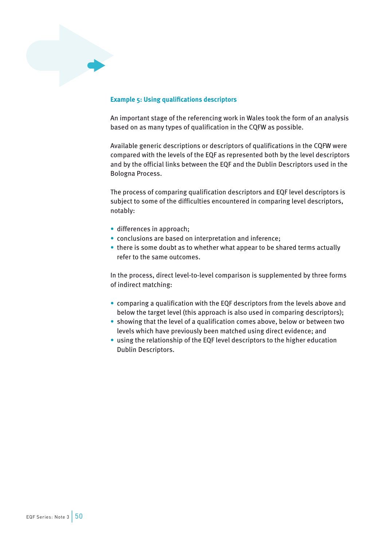<span id="page-50-0"></span>

## **Example 5: Using qualifications descriptors**

An important stage of the referencing work in Wales took the form of an analysis based on as many types of qualification in the CQFW as possible.

Available generic descriptions or descriptors of qualifications in the CQFW were compared with the levels of the EQF as represented both by the level descriptors and by the official links between the EQF and the Dublin Descriptors used in the Bologna Process.

The process of comparing qualification descriptors and EQF level descriptors is subject to some of the difficulties encountered in comparing level descriptors, notably:

- differences in approach;
- conclusions are based on interpretation and inference;
- there is some doubt as to whether what appear to be shared terms actually refer to the same outcomes.

In the process, direct level-to-level comparison is supplemented by three forms of indirect matching:

- comparing a qualification with the EQF descriptors from the levels above and below the target level (this approach is also used in comparing descriptors);
- showing that the level of a qualification comes above, below or between two levels which have previously been matched using direct evidence; and
- using the relationship of the EQF level descriptors to the higher education Dublin Descriptors.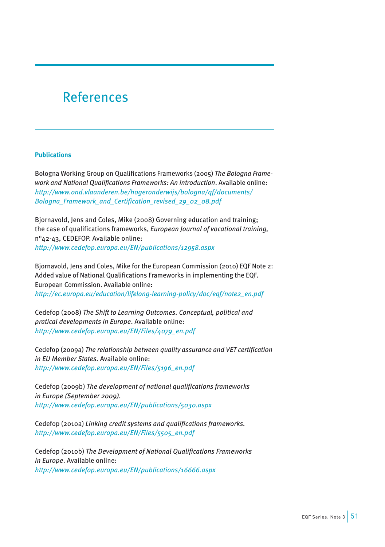## <span id="page-51-0"></span>References

## **Publications**

Bologna Working Group on Qualifications Frameworks (2005) *The Bologna Framework and National Qualifications Frameworks: An introduction*. Available online: *[http://www.ond.vlaanderen.be/hogeronderwijs/bologna/qf/documents/](http://www.ond.vlaanderen.be/hogeronderwijs/bologna/qf/documents/Bologna_Framework_and_Certification_revised_29_02_08.pdf) [Bologna\\_Framework\\_and\\_Certification\\_revised\\_29\\_02\\_08.pdf](http://www.ond.vlaanderen.be/hogeronderwijs/bologna/qf/documents/Bologna_Framework_and_Certification_revised_29_02_08.pdf)* 

Bjornavold, Jens and Coles, Mike (2008) Governing education and training; the case of qualifications frameworks, *European Journal of vocational training,*  n°42-43, CEDEFOP. Available online: *<http://www.cedefop.europa.eu/EN/publications/12958.aspx>*

Bjornavold, Jens and Coles, Mike for the European Commission (2010) EQF Note 2: Added value of National Qualifications Frameworks in implementing the EQF. European Commission. Available online: *[http://ec.europa.eu/education/lifelong-learning-policy/doc/eqf/note2\\_en.pdf](http://ec.europa.eu/education/lifelong-learning-policy/doc/eqf/note2_en.pdf)* 

Cedefop (2008) *The Shift to Learning Outcomes. Conceptual, political and pratical developments in Europe*. Available online: *[http://www.cedefop.europa.eu/EN/Files/4079\\_en.pdf](http://www.cedefop.europa.eu/EN/Files/4079_en.pdf)* 

Cedefop (2009a) *The relationship between quality assurance and VET certification in EU Member States.* Available online: *[http://www.cedefop.europa.eu/EN/Files/5196\\_en.pdf](http://www.cedefop.europa.eu/EN/Files/5196_en.pdf)*

Cedefop (2009b) *The development of national qualifications frameworks in Europe (September 2009). <http://www.cedefop.europa.eu/EN/publications/5030.aspx>*

Cedefop (2010a) *Linking credit systems and qualifications frameworks. [http://www.cedefop.europa.eu/EN/Files/5505\\_en.pdf](http://www.cedefop.europa.eu/EN/Files/5505_en.pdf)*

Cedefop (2010b) *The Development of National Qualifications Frameworks in Europe*. Available online: *<http://www.cedefop.europa.eu/EN/publications/16666.aspx>*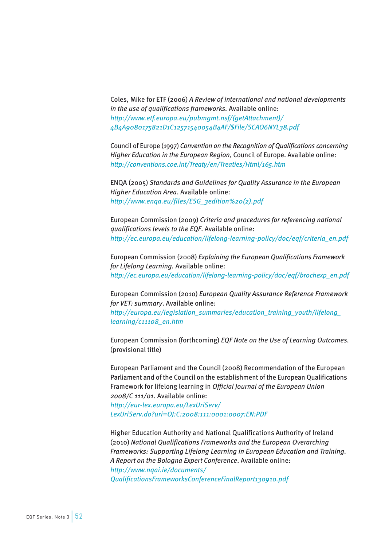Coles, Mike for ETF (2006) *A Review of international and national developments in the use of qualifications frameworks.* Available online: *[http://www.etf.europa.eu/pubmgmt.nsf/\(getAttachment\)/](http://www.etf.europa.eu/pubmgmt.nsf/(getAttachment)/4B4A9080175821D1C12571540054B4AF/$File/SCAO6NYL38.pdf) [4B4A9080175821D1C12571540054B4AF/\\$File/SCAO6NYL38.pdf](http://www.etf.europa.eu/pubmgmt.nsf/(getAttachment)/4B4A9080175821D1C12571540054B4AF/$File/SCAO6NYL38.pdf)* 

Council of Europe (1997) *Convention on the Recognition of Qualifications concerning Higher Education in the European Region*, Council of Europe. Available online: *<http://conventions.coe.int/Treaty/en/Treaties/Html/165.htm>* 

ENQA (2005) *Standards and Guidelines for Quality Assurance in the European Higher Education Area*. Available online: *[http://www.enqa.eu/files/ESG\\_3edition%20\(2\).pdf](http://www.enqa.eu/files/ESG_3edition%20(2).pdf)* 

European Commission (2009) *Criteria and procedures for referencing national qualifications levels to the EQF*. Available online: *[http://ec.europa.eu/education/lifelong-learning-policy/doc/eqf/criteria\\_en.pdf](http://ec.europa.eu/education/lifelong-learning-policy/doc/eqf/criteria_en.pdf)* 

European Commission (2008) *Explaining the European Qualifications Framework for Lifelong Learning.* Available online: *[http://ec.europa.eu/education/lifelong-learning-policy/doc/eqf/brochexp\\_en.pdf](http://ec.europa.eu/education/lifelong-learning-policy/doc/eqf/brochexp_en.pdf)*

European Commission (2010) *European Quality Assurance Reference Framework for VET: summary*. Available online: *[http://europa.eu/legislation\\_summaries/education\\_training\\_youth/lifelong\\_](http://europa.eu/legislation_summaries/education_training_youth/lifelong_learning/c11108_en.htm) [learning/c11108\\_en.htm](http://europa.eu/legislation_summaries/education_training_youth/lifelong_learning/c11108_en.htm)* 

European Commission (forthcoming) *EQF Note on the Use of Learning Outcomes.*  (provisional title)

European Parliament and the Council (2008) Recommendation of the European Parliament and of the Council on the establishment of the European Qualifications Framework for lifelong learning in *Official Journal of the European Union 2008/C 111/01.* Available online: *[http://eur-lex.europa.eu/LexUriServ/](http://eur-lex.europa.eu/LexUriServ/LexUriServ.do?uri=OJ:C:2008:111:0001:0007:EN:PDF)*

*[LexUriServ.do?uri=OJ:C:2008:111:0001:0007:EN:PDF](http://eur-lex.europa.eu/LexUriServ/LexUriServ.do?uri=OJ:C:2008:111:0001:0007:EN:PDF)* 

Higher Education Authority and National Qualifications Authority of Ireland (2010) *National Qualifications Frameworks and the European Overarching Frameworks: Supporting Lifelong Learning in European Education and Training. A Report on the Bologna Expert Conference*. Available online: *[http://www.nqai.ie/documents/](http://www.nqai.ie/documents/QualificationsFrameworksConferenceFinalReport130910.pdf) [QualificationsFrameworksConferenceFinalReport130910.pdf](http://www.nqai.ie/documents/QualificationsFrameworksConferenceFinalReport130910.pdf)*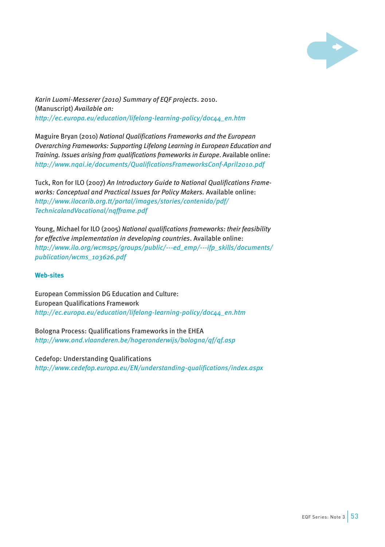

*Karin Luomi-Messerer (2010) Summary of EQF projects*. 2010. (Manuscript) *Available on: [http://ec.europa.eu/education/lifelong-learning-policy/doc44\\_en.htm](http://ec.europa.eu/education/lifelong-learning-policy/doc44_en.htm)*

Maguire Bryan (2010) *National Qualifications Frameworks and the European Overarching Frameworks: Supporting Lifelong Learning in European Education and Training. Issues arising from qualifications frameworks in Europe*. Available online: *<http://www.nqai.ie/documents/QualificationsFrameworksConf-April2010.pdf>*

Tuck, Ron for ILO (2007) *An Introductory Guide to National Qualifications Frameworks: Conceptual and Practical Issues for Policy Makers.* Available online: *[http://www.ilocarib.org.tt/portal/images/stories/contenido/pdf/](http://www.ilocarib.org.tt/portal/images/stories/contenido/pdf/TechnicalandVocational/nqfframe.pdf) [TechnicalandVocational/nqfframe.pdf](http://www.ilocarib.org.tt/portal/images/stories/contenido/pdf/TechnicalandVocational/nqfframe.pdf)* 

Young, Michael for ILO (2005) *National qualifications frameworks: their feasibility for effective implementation in developing countries*. Available online: *[http://www.ilo.org/wcmsp5/groups/public/---ed\\_emp/---ifp\\_skills/documents/](http://www.ilo.org/wcmsp5/groups/public/---ed_emp/---ifp_skills/documents/publication/wcms_103626.pdf) [publication/wcms\\_103626.pdf](http://www.ilo.org/wcmsp5/groups/public/---ed_emp/---ifp_skills/documents/publication/wcms_103626.pdf)* 

## **Web-sites**

European Commission DG Education and Culture: European Qualifications Framework *[http://ec.europa.eu/education/lifelong-learning-policy/doc44\\_en.htm](http://ec.europa.eu/education/lifelong-learning-policy/doc44_en.htm)* 

Bologna Process: Qualifications Frameworks in the EHEA *<http://www.ond.vlaanderen.be/hogeronderwijs/bologna/qf/qf.asp>* 

Cedefop: Understanding Qualifications *<http://www.cedefop.europa.eu/EN/understanding-qualifications/index.aspx>*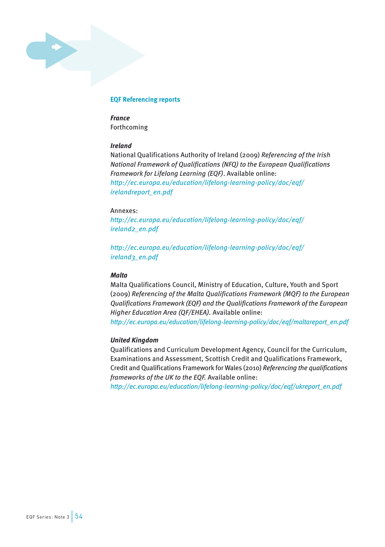## **EQF Referencing reports**

*France* Forthcoming

## *Ireland*

National Qualifications Authority of Ireland (2009) *Referencing of the Irish National Framework of Qualifications (NFQ) to the European Qualifications Framework for Lifelong Learning (EQF)*. Available online: *[http://ec.europa.eu/education/lifelong-learning-policy/doc/eqf/](http://ec.europa.eu/education/lifelong-learning-policy/doc/eqf/irelandreport_en.pdf) [irelandreport\\_en.pdf](http://ec.europa.eu/education/lifelong-learning-policy/doc/eqf/irelandreport_en.pdf)* 

## Annexes:

*[http://ec.europa.eu/education/lifelong-learning-policy/doc/eqf/](http://ec.europa.eu/education/lifelong-learning-policy/doc/eqf/ireland2_en.pdf) [ireland2\\_en.pdf](http://ec.europa.eu/education/lifelong-learning-policy/doc/eqf/ireland2_en.pdf)*

*[http://ec.europa.eu/education/lifelong-learning-policy/doc/eqf/](http://ec.europa.eu/education/lifelong-learning-policy/doc/eqf/ireland3_en.pdf) [ireland3\\_en.pdf](http://ec.europa.eu/education/lifelong-learning-policy/doc/eqf/ireland3_en.pdf)*

## *Malta*

Malta Qualifications Council, Ministry of Education, Culture, Youth and Sport (2009) *Referencing of the Malta Qualifications Framework (MQF) to the European Qualifications Framework (EQF) and the Qualifications Framework of the European Higher Education Area (QF/EHEA).* Available online: *[http://ec.europa.eu/education/lifelong-learning-policy/doc/eqf/maltareport\\_en.pdf](http://ec.europa.eu/education/lifelong-learning-policy/doc/eqf/maltareport_en.pdf)*

## *United Kingdom*

Qualifications and Curriculum Development Agency, Council for the Curriculum, Examinations and Assessment, Scottish Credit and Qualifications Framework, Credit and Qualifications Framework for Wales (2010) *Referencing the qualifications frameworks of the UK to the EQF.* Available online:

*[http://ec.europa.eu/education/lifelong-learning-policy/doc/eqf/ukreport\\_en.pdf](http://ec.europa.eu/education/lifelong-learning-policy/doc/eqf/ukreport_en.pdf)*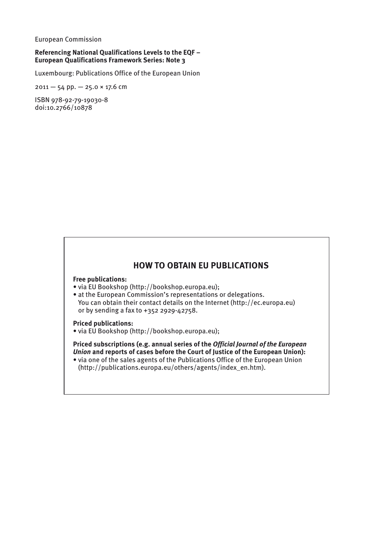European Commission

## **Referencing National Qualifications Levels to the eqf – European Qualifications Framework Series: Note 3**

Luxembourg: Publications Office of the European Union

 $2011 - 54$  pp.  $- 25.0 \times 17.6$  cm

ISBN 978-92-79-19030-8 doi:10.2766/10878

## **How to obtain EU publications**

**Free publications:**

- via EU Bookshop [\(http://bookshop.europa.eu\);](http://bookshop.europa.eu);�)
- [•](http://bookshop.europa.eu);�) at the European Commission's representations or delegations. You can obtain their contact details on the Internet ([http://ec.europa.eu\)](http://ec.europa.eu))  or by sending a fax to +352 2929-42758.

### **Priced publications:**

• via EU Bookshop [\(http://bookshop.europa.eu\);](http://bookshop.europa.eu);) 

**Priced subscriptions (e.g. annual series of the** *Official Journal of the European Union* **and reports of cases before the Court of Justice of the European Union):**

• via one of the sales agents of the Publications Office of the European Union [\(http://publications.europa.eu/others/agents/index\\_en.htm\).](http://publications.europa.eu/others/agents/index_en.htm).)